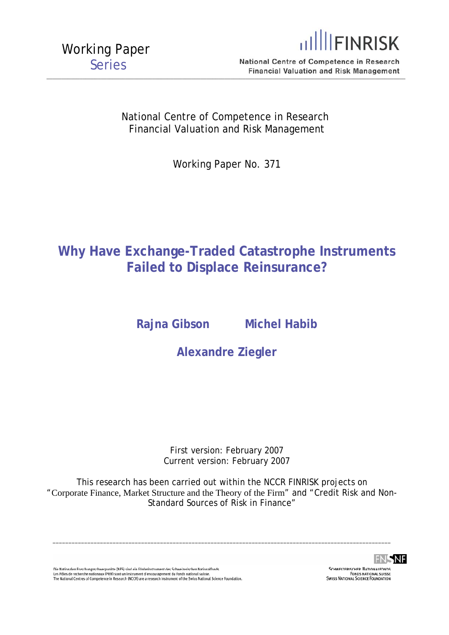

National Centre of Competence in Research  $-$  . The contribution of the contribution of  $\mathcal{S}$  , and the contribution of  $\mathcal{S}$  , and the contribution of  $\mathcal{S}$ 

> National Centre of Competence in Research Financial Valuation and Risk Management

> > Working Paper No. 371

## **Why Have Exchange-Traded Catastrophe Instruments Failed to Displace Reinsurance?**

**Rajna Gibson Michel Habib** 

**Alexandre Ziegler** 

First version: February 2007 Current version: February 2007

This research has been carried out within the NCCR FINRISK projects on "Corporate Finance, Market Structure and the Theory of the Firm" and "Credit Risk and Non-Standard Sources of Risk in Finance"

\_\_\_\_\_\_\_\_\_\_\_\_\_\_\_\_\_\_\_\_\_\_\_\_\_\_\_\_\_\_\_\_\_\_\_\_\_\_\_\_\_\_\_\_\_\_\_\_\_\_\_\_\_\_\_\_\_\_\_\_\_\_\_\_\_\_\_\_\_\_\_\_\_\_\_\_\_\_\_\_\_\_\_\_\_\_\_\_\_\_\_\_\_\_\_\_\_\_\_\_\_\_\_\_\_\_\_

Die Nationalen Forschungsschwerpunkte (NFS) sind ein Förderinstrument des Schweizerischen Nationalfonds.<br>Les Pôles de recherche nationaux (PRN) sont un instrument d'encouragement du Fonds national suisse.<br>The National Cent



**SCHWEIZEDISCHED NATIONALEONDS** SCHWEIZERISCHER NATIONALFONDS<br>FONDS NATIONAL SUISSE<br>SWISS NATIONAL SCIENCE FOUNDATION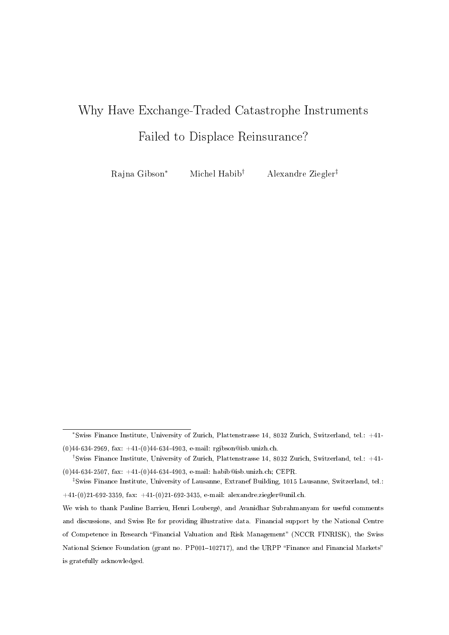# Why Have Exchange-Traded Catastrophe Instruments Failed to Displace Reinsurance?

Rajna Gibson<sup>∗</sup> Michel Habib† Alexandre Ziegler‡

<sup>∗</sup>Swiss Finance Institute, University of Zurich, Plattenstrasse 14, 8032 Zurich, Switzerland, tel.: +41- (0)44-634-2969, fax: +41-(0)44-634-4903, e-mail: rgibson@isb.unizh.ch.

<sup>†</sup>Swiss Finance Institute, University of Zurich, Plattenstrasse 14, 8032 Zurich, Switzerland, tel.: +41- (0)44-634-2507, fax: +41-(0)44-634-4903, e-mail: habib@isb.unizh.ch; CEPR.

<sup>‡</sup>Swiss Finance Institute, University of Lausanne, Extranef Building, 1015 Lausanne, Switzerland, tel.:  $+41-(0)21-692-3359$ , fax:  $+41-(0)21-692-3435$ , e-mail: alexandre.ziegler@unil.ch.

We wish to thank Pauline Barrieu, Henri Loubergé, and Avanidhar Subrahmanyam for useful comments and discussions, and Swiss Re for providing illustrative data. Financial support by the National Centre of Competence in Research "Financial Valuation and Risk Management" (NCCR FINRISK), the Swiss National Science Foundation (grant no. PP001-102717), and the URPP "Finance and Financial Markets" is gratefully acknowledged.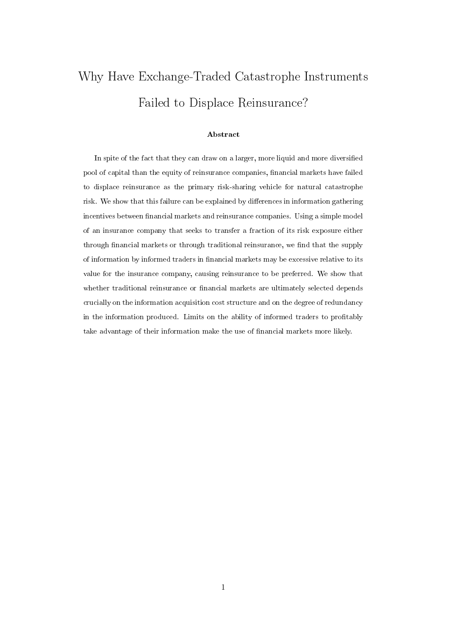# Why Have Exchange-Traded Catastrophe Instruments Failed to Displace Reinsurance?

#### Abstract

In spite of the fact that they can draw on a larger, more liquid and more diversified pool of capital than the equity of reinsurance companies, financial markets have failed to displace reinsurance as the primary risk-sharing vehicle for natural catastrophe risk. We show that this failure can be explained by differences in information gathering incentives between financial markets and reinsurance companies. Using a simple model of an insurance company that seeks to transfer a fraction of its risk exposure either through financial markets or through traditional reinsurance, we find that the supply of information by informed traders in financial markets may be excessive relative to its value for the insurance company, causing reinsurance to be preferred. We show that whether traditional reinsurance or financial markets are ultimately selected depends crucially on the information acquisition cost structure and on the degree of redundancy in the information produced. Limits on the ability of informed traders to profitably take advantage of their information make the use of financial markets more likely.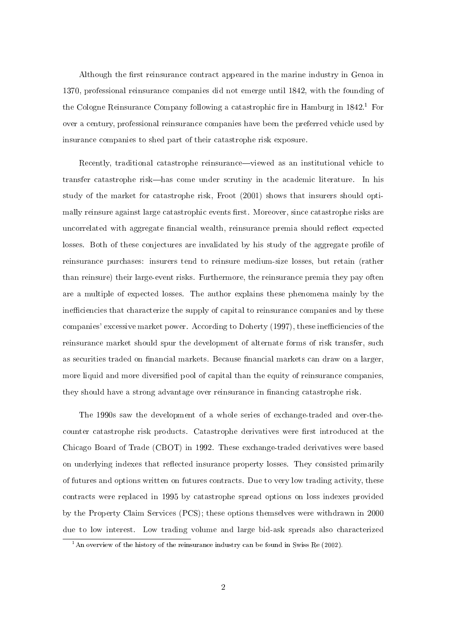Although the first reinsurance contract appeared in the marine industry in Genoa in 1370, professional reinsurance companies did not emerge until 1842, with the founding of the Cologne Reinsurance Company following a catastrophic fire in Hamburg in  $1842<sup>1</sup>$  For over a century, professional reinsurance companies have been the preferred vehicle used by insurance companies to shed part of their catastrophe risk exposure.

Recently, traditional catastrophe reinsurance—viewed as an institutional vehicle to transfer catastrophe risk—has come under scrutiny in the academic literature. In his study of the market for catastrophe risk, Froot (2001) shows that insurers should optimally reinsure against large catastrophic events first. Moreover, since catastrophe risks are uncorrelated with aggregate financial wealth, reinsurance premia should reflect expected losses. Both of these conjectures are invalidated by his study of the aggregate profile of reinsurance purchases: insurers tend to reinsure medium-size losses, but retain (rather than reinsure) their large-event risks. Furthermore, the reinsurance premia they pay often are a multiple of expected losses. The author explains these phenomena mainly by the inefficiencies that characterize the supply of capital to reinsurance companies and by these companies' excessive market power. According to Doherty (1997), these inefficiencies of the reinsurance market should spur the development of alternate forms of risk transfer, such as securities traded on financial markets. Because financial markets can draw on a larger, more liquid and more diversified pool of capital than the equity of reinsurance companies, they should have a strong advantage over reinsurance in financing catastrophe risk.

The 1990s saw the development of a whole series of exchange-traded and over-thecounter catastrophe risk products. Catastrophe derivatives were first introduced at the Chicago Board of Trade (CBOT) in 1992. These exchange-traded derivatives were based on underlying indexes that reflected insurance property losses. They consisted primarily of futures and options written on futures contracts. Due to very low trading activity, these contracts were replaced in 1995 by catastrophe spread options on loss indexes provided by the Property Claim Services (PCS); these options themselves were withdrawn in 2000 due to low interest. Low trading volume and large bid-ask spreads also characterized

 $\overline{1\text{An}}$  overview of the history of the reinsurance industry can be found in Swiss Re (2002).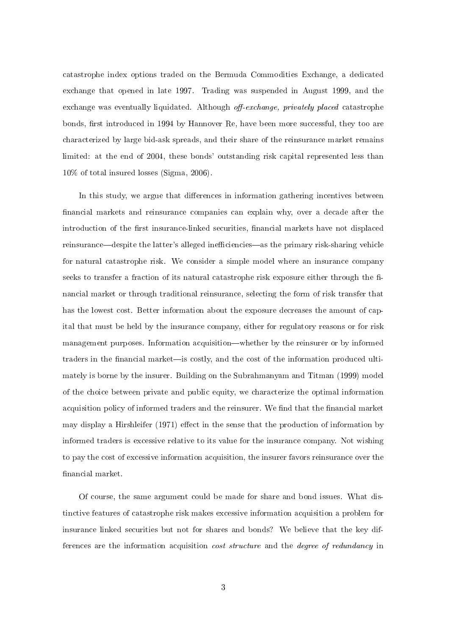catastrophe index options traded on the Bermuda Commodities Exchange, a dedicated exchange that opened in late 1997. Trading was suspended in August 1999, and the exchange was eventually liquidated. Although *off-exchange, privately placed* catastrophe bonds, first introduced in 1994 by Hannover Re, have been more successful, they too are characterized by large bid-ask spreads, and their share of the reinsurance market remains limited: at the end of 2004, these bonds' outstanding risk capital represented less than 10% of total insured losses (Sigma, 2006).

In this study, we argue that differences in information gathering incentives between financial markets and reinsurance companies can explain why, over a decade after the introduction of the first insurance-linked securities, financial markets have not displaced reinsurance—despite the latter's alleged inefficiencies—as the primary risk-sharing vehicle for natural catastrophe risk. We consider a simple model where an insurance company seeks to transfer a fraction of its natural catastrophe risk exposure either through the financial market or through traditional reinsurance, selecting the form of risk transfer that has the lowest cost. Better information about the exposure decreases the amount of capital that must be held by the insurance company, either for regulatory reasons or for risk management purposes. Information acquisition—whether by the reinsurer or by informed traders in the financial market—is costly, and the cost of the information produced ultimately is borne by the insurer. Building on the Subrahmanyam and Titman (1999) model of the choice between private and public equity, we characterize the optimal information acquisition policy of informed traders and the reinsurer. We find that the financial market may display a Hirshleifer  $(1971)$  effect in the sense that the production of information by informed traders is excessive relative to its value for the insurance company. Not wishing to pay the cost of excessive information acquisition, the insurer favors reinsurance over the financial market.

Of course, the same argument could be made for share and bond issues. What distinctive features of catastrophe risk makes excessive information acquisition a problem for insurance linked securities but not for shares and bonds? We believe that the key differences are the information acquisition cost structure and the degree of redundancy in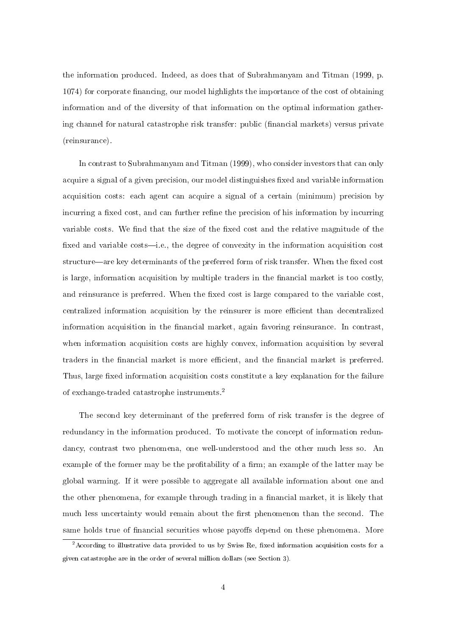the information produced. Indeed, as does that of Subrahmanyam and Titman (1999, p. 1074) for corporate financing, our model highlights the importance of the cost of obtaining information and of the diversity of that information on the optimal information gathering channel for natural catastrophe risk transfer: public (financial markets) versus private (reinsurance).

In contrast to Subrahmanyam and Titman (1999), who consider investors that can only acquire a signal of a given precision, our model distinguishes fixed and variable information acquisition costs: each agent can acquire a signal of a certain (minimum) precision by incurring a fixed cost, and can further refine the precision of his information by incurring variable costs. We find that the size of the fixed cost and the relative magnitude of the fixed and variable costs—i.e., the degree of convexity in the information acquisition cost structure—are key determinants of the preferred form of risk transfer. When the fixed cost is large, information acquisition by multiple traders in the nancial market is too costly, and reinsurance is preferred. When the fixed cost is large compared to the variable cost, centralized information acquisition by the reinsurer is more efficient than decentralized information acquisition in the financial market, again favoring reinsurance. In contrast, when information acquisition costs are highly convex, information acquisition by several traders in the financial market is more efficient, and the financial market is preferred. Thus, large fixed information acquisition costs constitute a key explanation for the failure of exchange-traded catastrophe instruments.<sup>2</sup>

The second key determinant of the preferred form of risk transfer is the degree of redundancy in the information produced. To motivate the concept of information redundancy, contrast two phenomena, one well-understood and the other much less so. An example of the former may be the profitability of a firm; an example of the latter may be global warming. If it were possible to aggregate all available information about one and the other phenomena, for example through trading in a financial market, it is likely that much less uncertainty would remain about the first phenomenon than the second. The same holds true of financial securities whose payoffs depend on these phenomena. More

 $2$ According to illustrative data provided to us by Swiss Re, fixed information acquisition costs for a given catastrophe are in the order of several million dollars (see Section 3).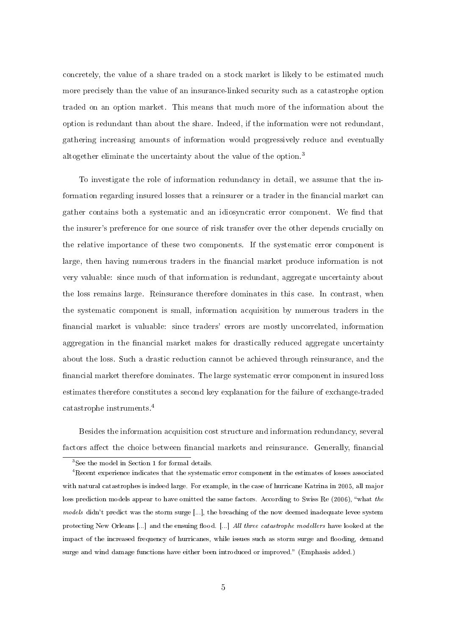concretely, the value of a share traded on a stock market is likely to be estimated much more precisely than the value of an insurance-linked security such as a catastrophe option traded on an option market. This means that much more of the information about the option is redundant than about the share. Indeed, if the information were not redundant, gathering increasing amounts of information would progressively reduce and eventually altogether eliminate the uncertainty about the value of the option.<sup>3</sup>

To investigate the role of information redundancy in detail, we assume that the information regarding insured losses that a reinsurer or a trader in the financial market can gather contains both a systematic and an idiosyncratic error component. We find that the insurer's preference for one source of risk transfer over the other depends crucially on the relative importance of these two components. If the systematic error component is large, then having numerous traders in the financial market produce information is not very valuable: since much of that information is redundant, aggregate uncertainty about the loss remains large. Reinsurance therefore dominates in this case. In contrast, when the systematic component is small, information acquisition by numerous traders in the financial market is valuable: since traders' errors are mostly uncorrelated, information aggregation in the financial market makes for drastically reduced aggregate uncertainty about the loss. Such a drastic reduction cannot be achieved through reinsurance, and the financial market therefore dominates. The large systematic error component in insured loss estimates therefore constitutes a second key explanation for the failure of exchange-traded catastrophe instruments.<sup>4</sup>

Besides the information acquisition cost structure and information redundancy, several factors affect the choice between financial markets and reinsurance. Generally, financial

<sup>3</sup>See the model in Section 1 for formal details.

<sup>&</sup>lt;sup>4</sup> Recent experience indicates that the systematic error component in the estimates of losses associated with natural catastrophes is indeed large. For example, in the case of hurricane Katrina in 2005, all major loss prediction models appear to have omitted the same factors. According to Swiss Re (2006), "what the models didn't predict was the storm surge [...], the breaching of the now deemed inadequate levee system protecting New Orleans [...] and the ensuing flood. [...] All three catastrophe modellers have looked at the impact of the increased frequency of hurricanes, while issues such as storm surge and flooding, demand surge and wind damage functions have either been introduced or improved." (Emphasis added.)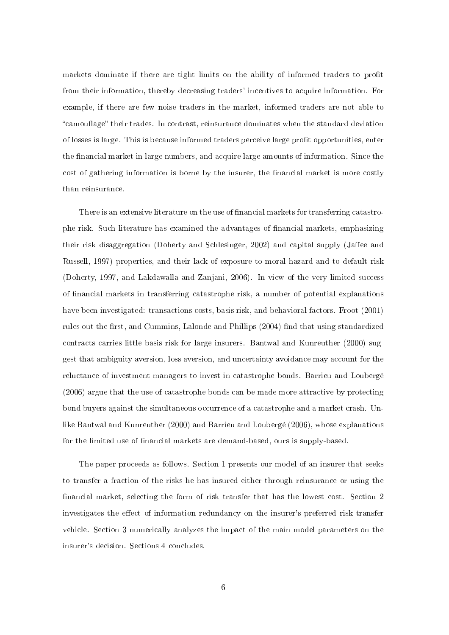markets dominate if there are tight limits on the ability of informed traders to profit from their information, thereby decreasing traders' incentives to acquire information. For example, if there are few noise traders in the market, informed traders are not able to "camouflage" their trades. In contrast, reinsurance dominates when the standard deviation of losses is large. This is because informed traders perceive large prot opportunities, enter the financial market in large numbers, and acquire large amounts of information. Since the cost of gathering information is borne by the insurer, the financial market is more costly than reinsurance.

There is an extensive literature on the use of financial markets for transferring catastrophe risk. Such literature has examined the advantages of nancial markets, emphasizing their risk disaggregation (Doherty and Schlesinger, 2002) and capital supply (Jaffee and Russell, 1997) properties, and their lack of exposure to moral hazard and to default risk (Doherty, 1997, and Lakdawalla and Zanjani, 2006). In view of the very limited success of nancial markets in transferring catastrophe risk, a number of potential explanations have been investigated: transactions costs, basis risk, and behavioral factors. Froot (2001) rules out the first, and Cummins, Lalonde and Phillips (2004) find that using standardized contracts carries little basis risk for large insurers. Bantwal and Kunreuther (2000) suggest that ambiguity aversion, loss aversion, and uncertainty avoidance may account for the reluctance of investment managers to invest in catastrophe bonds. Barrieu and Loubergé (2006) argue that the use of catastrophe bonds can be made more attractive by protecting bond buyers against the simultaneous occurrence of a catastrophe and a market crash. Unlike Bantwal and Kunreuther (2000) and Barrieu and Loubergé (2006), whose explanations for the limited use of financial markets are demand-based, ours is supply-based.

The paper proceeds as follows. Section 1 presents our model of an insurer that seeks to transfer a fraction of the risks he has insured either through reinsurance or using the financial market, selecting the form of risk transfer that has the lowest cost. Section 2 investigates the effect of information redundancy on the insurer's preferred risk transfer vehicle. Section 3 numerically analyzes the impact of the main model parameters on the insurer's decision. Sections 4 concludes.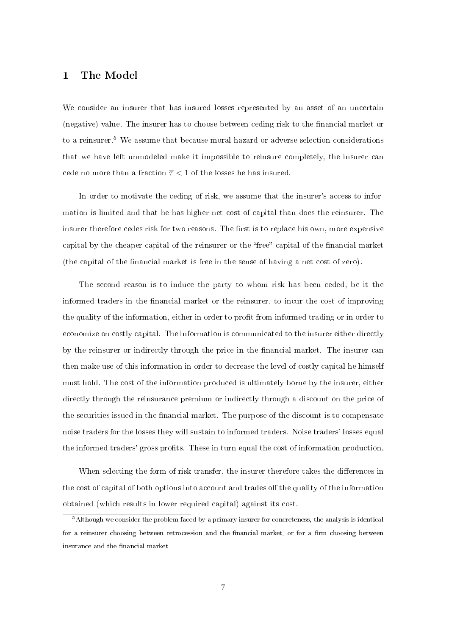#### 1 The Model

We consider an insurer that has insured losses represented by an asset of an uncertain (negative) value. The insurer has to choose between ceding risk to the financial market or to a reinsurer.<sup>5</sup> We assume that because moral hazard or adverse selection considerations that we have left unmodeled make it impossible to reinsure completely, the insurer can cede no more than a fraction  $\overline{\tau}$  < 1 of the losses he has insured.

In order to motivate the ceding of risk, we assume that the insurer's access to information is limited and that he has higher net cost of capital than does the reinsurer. The insurer therefore cedes risk for two reasons. The first is to replace his own, more expensive capital by the cheaper capital of the reinsurer or the "free" capital of the financial market (the capital of the nancial market is free in the sense of having a net cost of zero).

The second reason is to induce the party to whom risk has been ceded, be it the informed traders in the financial market or the reinsurer, to incur the cost of improving the quality of the information, either in order to profit from informed trading or in order to economize on costly capital. The information is communicated to the insurer either directly by the reinsurer or indirectly through the price in the financial market. The insurer can then make use of this information in order to decrease the level of costly capital he himself must hold. The cost of the information produced is ultimately borne by the insurer, either directly through the reinsurance premium or indirectly through a discount on the price of the securities issued in the financial market. The purpose of the discount is to compensate noise traders for the losses they will sustain to informed traders. Noise traders' losses equal the informed traders' gross prots. These in turn equal the cost of information production.

When selecting the form of risk transfer, the insurer therefore takes the differences in the cost of capital of both options into account and trades off the quality of the information obtained (which results in lower required capital) against its cost.

<sup>5</sup>Although we consider the problem faced by a primary insurer for concreteness, the analysis is identical for a reinsurer choosing between retrocession and the financial market, or for a firm choosing between insurance and the financial market.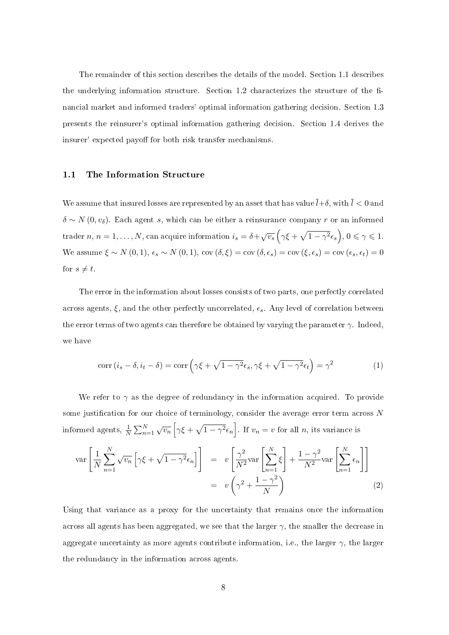The remainder of this section describes the details of the model. Section 1.1 describes the underlying information structure. Section  $1.2$  characterizes the structure of the financial market and informed traders' optimal information gathering decision. Section 1.3 presents the reinsurer's optimal information gathering decision. Section 1.4 derives the insurer' expected payoff for both risk transfer mechanisms.

#### 1.1 The Information Structure

We assume that insured losses are represented by an asset that has value  $\bar{l}+\delta$ , with  $\bar{l} < 0$  and  $\delta \sim N(0, v_{\delta})$ . Each agent s, which can be either a reinsurance company r or an informed trader  $n, n = 1, ..., N$ , can acquire information  $i_s = \delta + \sqrt{v_s}$  $\overline{a}$  $\gamma \xi +$ p  $1-\gamma^2\epsilon_s$ ´ ,  $0 \leqslant \gamma \leqslant 1$ . We assume  $\xi \sim N(0, 1)$ ,  $\epsilon_s \sim N(0, 1)$ ,  $\cos(\delta, \xi) = \cos(\delta, \epsilon_s) = \cos(\xi, \epsilon_s) = \cos(\epsilon_s, \epsilon_t) = 0$ for  $s \neq t$ .

The error in the information about losses consists of two parts, one perfectly correlated across agents,  $\xi$ , and the other perfectly uncorrelated,  $\epsilon_s$ . Any level of correlation between the error terms of two agents can therefore be obtained by varying the parameter  $\gamma$ . Indeed, we have

$$
\operatorname{corr}\left(i_{s}-\delta,i_{t}-\delta\right)=\operatorname{corr}\left(\gamma\xi+\sqrt{1-\gamma^{2}}\epsilon_{s},\gamma\xi+\sqrt{1-\gamma^{2}}\epsilon_{t}\right)=\gamma^{2}
$$
\n(1)

We refer to  $\gamma$  as the degree of redundancy in the information acquired. To provide some justification for our choice of terminology, consider the average error term across  $N$ informed agents,  $\frac{1}{N}$  $\sum_{n=1}^{N} \sqrt{v_n}$ h  $\gamma \xi +$  $\mathcal{L}$  $\overline{1-\gamma^2}\epsilon_n$ i . If  $v_n = v$  for all n, its variance is

$$
\operatorname{var}\left[\frac{1}{N}\sum_{n=1}^{N}\sqrt{v_n}\left[\gamma\xi+\sqrt{1-\gamma^2}\epsilon_n\right]\right] = v\left[\frac{\gamma^2}{N^2}\operatorname{var}\left[\sum_{n=1}^{N}\xi\right]+\frac{1-\gamma^2}{N^2}\operatorname{var}\left[\sum_{n=1}^{N}\epsilon_n\right]\right]
$$

$$
= v\left(\gamma^2+\frac{1-\gamma^2}{N}\right) \tag{2}
$$

Using that variance as a proxy for the uncertainty that remains once the information across all agents has been aggregated, we see that the larger  $\gamma$ , the smaller the decrease in aggregate uncertainty as more agents contribute information, i.e., the larger  $\gamma$ , the larger the redundancy in the information across agents.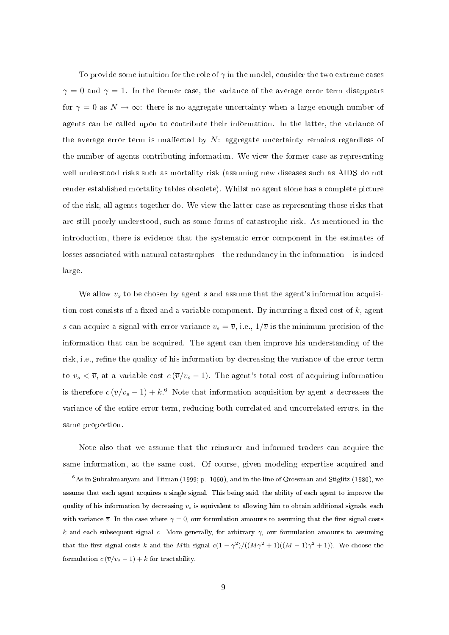To provide some intuition for the role of  $\gamma$  in the model, consider the two extreme cases  $\gamma = 0$  and  $\gamma = 1$ . In the former case, the variance of the average error term disappears for  $\gamma = 0$  as  $N \to \infty$ : there is no aggregate uncertainty when a large enough number of agents can be called upon to contribute their information. In the latter, the variance of the average error term is unaffected by  $N$ : aggregate uncertainty remains regardless of the number of agents contributing information. We view the former case as representing well understood risks such as mortality risk (assuming new diseases such as AIDS do not render established mortality tables obsolete). Whilst no agent alone has a complete picture of the risk, all agents together do. We view the latter case as representing those risks that are still poorly understood, such as some forms of catastrophe risk. As mentioned in the introduction, there is evidence that the systematic error component in the estimates of losses associated with natural catastrophes—the redundancy in the information—is indeed large.

We allow  $v<sub>s</sub>$  to be chosen by agent s and assume that the agent's information acquisition cost consists of a fixed and a variable component. By incurring a fixed cost of  $k$ , agent s can acquire a signal with error variance  $v_s = \overline{v}$ , i.e.,  $1/\overline{v}$  is the minimum precision of the information that can be acquired. The agent can then improve his understanding of the risk, i.e., refine the quality of his information by decreasing the variance of the error term to  $v_s < \overline{v}$ , at a variable cost  $c(\overline{v}/v_s - 1)$ . The agent's total cost of acquiring information is therefore  $c(\overline{v}/v_s - 1) + k$ .<sup>6</sup> Note that information acquisition by agent s decreases the variance of the entire error term, reducing both correlated and uncorrelated errors, in the same proportion.

Note also that we assume that the reinsurer and informed traders can acquire the same information, at the same cost. Of course, given modeling expertise acquired and

 $6$ As in Subrahmanyam and Titman (1999; p. 1060), and in the line of Grossman and Stiglitz (1980), we assume that each agent acquires a single signal. This being said, the ability of each agent to improve the quality of his information by decreasing  $v_s$  is equivalent to allowing him to obtain additional signals, each with variance  $\bar{v}$ . In the case where  $\gamma = 0$ , our formulation amounts to assuming that the first signal costs k and each subsequent signal c. More generally, for arbitrary  $\gamma$ , our formulation amounts to assuming that the first signal costs k and the Mth signal  $c(1-\gamma^2)/((M\gamma^2+1)((M-1)\gamma^2+1))$ . We choose the formulation  $c(\overline{v}/v_s - 1) + k$  for tractability.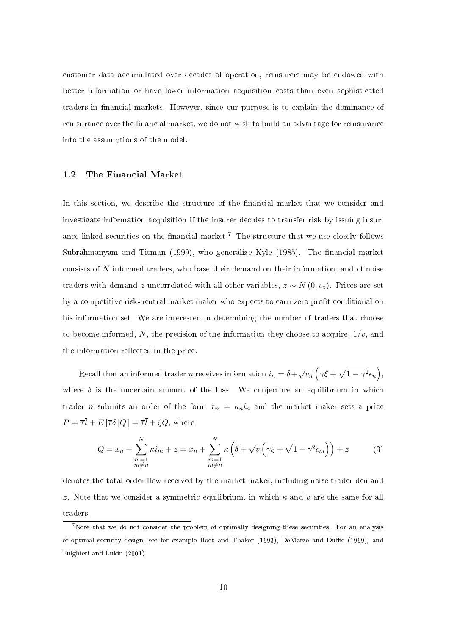customer data accumulated over decades of operation, reinsurers may be endowed with better information or have lower information acquisition costs than even sophisticated traders in financial markets. However, since our purpose is to explain the dominance of reinsurance over the financial market, we do not wish to build an advantage for reinsurance into the assumptions of the model.

#### 1.2 The Financial Market

In this section, we describe the structure of the financial market that we consider and investigate information acquisition if the insurer decides to transfer risk by issuing insurance linked securities on the financial market.<sup>7</sup> The structure that we use closely follows Subrahmanyam and Titman (1999), who generalize Kyle  $(1985)$ . The financial market consists of N informed traders, who base their demand on their information, and of noise traders with demand z uncorrelated with all other variables,  $z \sim N(0, v_z)$ . Prices are set by a competitive risk-neutral market maker who expects to earn zero profit conditional on his information set. We are interested in determining the number of traders that choose to become informed, N, the precision of the information they choose to acquire,  $1/v$ , and the information reflected in the price.

Recall that an informed trader *n* receives information  $i_n = \delta + \sqrt{v_n}$  $\overline{a}$  $\gamma \xi +$ p  $\overline{1-\gamma^2}\epsilon_n$ ´ , where  $\delta$  is the uncertain amount of the loss. We conjecture an equilibrium in which trader *n* submits an order of the form  $x_n = \kappa_n i_n$  and the market maker sets a price  $P = \overline{\tau} \overline{l} + E [\overline{\tau} \delta | Q] = \overline{\tau} \overline{l} + \zeta Q$ , where

$$
Q = x_n + \sum_{\substack{m=1 \ m \neq n}}^N \kappa i_m + z = x_n + \sum_{\substack{m=1 \ m \neq n}}^N \kappa \left( \delta + \sqrt{v} \left( \gamma \xi + \sqrt{1 - \gamma^2} \epsilon_m \right) \right) + z \tag{3}
$$

denotes the total order flow received by the market maker, including noise trader demand z. Note that we consider a symmetric equilibrium, in which  $\kappa$  and v are the same for all traders.

<sup>&</sup>lt;sup>7</sup>Note that we do not consider the problem of optimally designing these securities. For an analysis of optimal security design, see for example Boot and Thakor (1993), DeMarzo and Duffie (1999), and Fulghieri and Lukin (2001).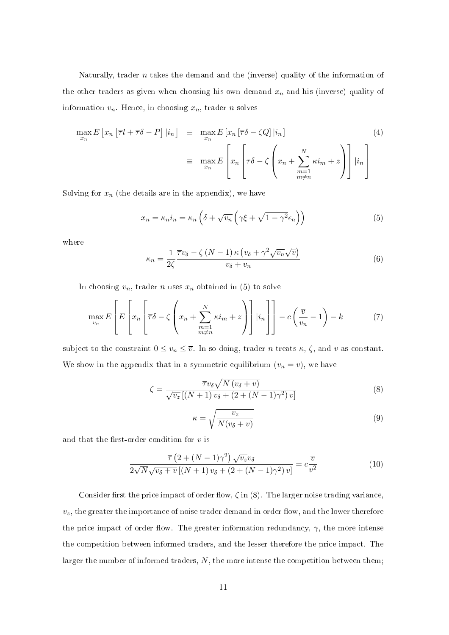Naturally, trader  $n$  takes the demand and the (inverse) quality of the information of the other traders as given when choosing his own demand  $x_n$  and his (inverse) quality of information  $v_n$ . Hence, in choosing  $x_n$ , trader n solves

$$
\max_{x_n} E\left[x_n \left[\overline{\tau}\overline{l} + \overline{\tau}\delta - P\right] | i_n\right] = \max_{x_n} E\left[x_n \left[\overline{\tau}\delta - \zeta Q\right] | i_n\right]
$$
\n
$$
= \max_{x_n} E\left[x_n \left[\overline{\tau}\delta - \zeta \left(x_n + \sum_{\substack{m=1 \ m \neq n}}^N \kappa i_m + z\right)\right] | i_n\right]
$$
\n(4)

Solving for  $x_n$  (the details are in the appendix), we have

$$
x_n = \kappa_n i_n = \kappa_n \left( \delta + \sqrt{v_n} \left( \gamma \xi + \sqrt{1 - \gamma^2} \epsilon_n \right) \right)
$$
 (5)

where

$$
\kappa_n = \frac{1}{2\zeta} \frac{\overline{\tau}v_\delta - \zeta \left(N - 1\right)\kappa \left(v_\delta + \gamma^2 \sqrt{v_n} \sqrt{v}\right)}{v_\delta + v_n} \tag{6}
$$

In choosing  $v_n$ , trader n uses  $x_n$  obtained in (5) to solve

$$
\max_{v_n} E\left[E\left[x_n \left(\overline{\tau}\delta - \zeta \left(x_n + \sum_{\substack{m=1\\m \neq n}}^N \kappa i_m + z\right)\right] |i_n\right]\right] - c\left(\frac{\overline{v}}{v_n} - 1\right) - k\tag{7}
$$

subject to the constraint  $0 \le v_n \le \overline{v}$ . In so doing, trader *n* treats  $\kappa$ ,  $\zeta$ , and *v* as constant. We show in the appendix that in a symmetric equilibrium  $(v_n = v)$ , we have

$$
\zeta = \frac{\overline{\tau}v_{\delta}\sqrt{N(v_{\delta}+v)}}{\sqrt{v_{z}}\left[(N+1)v_{\delta} + (2+(N-1)\gamma^{2})v\right]}
$$
\n(8)

$$
\kappa = \sqrt{\frac{v_z}{N(v_\delta + v)}}\tag{9}
$$

and that the first-order condition for  $v$  is

$$
\frac{\overline{\tau}\left(2+(N-1)\gamma^2\right)\sqrt{v_z}v_{\delta}}{2\sqrt{N}\sqrt{v_{\delta}+v}\left[(N+1)v_{\delta}+(2+(N-1)\gamma^2)v\right]}=c\frac{\overline{v}}{v^2}\tag{10}
$$

Consider first the price impact of order flow,  $\zeta$  in (8). The larger noise trading variance,  $v_z$ , the greater the importance of noise trader demand in order flow, and the lower therefore the price impact of order flow. The greater information redundancy,  $\gamma$ , the more intense the competition between informed traders, and the lesser therefore the price impact. The larger the number of informed traders,  $N$ , the more intense the competition between them;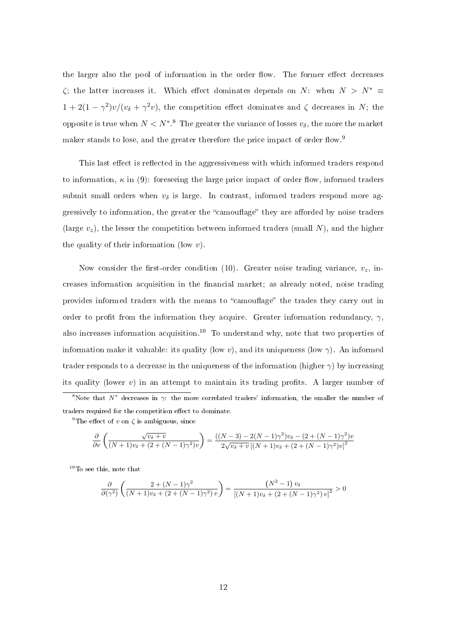the larger also the pool of information in the order flow. The former effect decreases  $\zeta$ ; the latter increases it. Which effect dominates depends on N: when  $N > N^* \equiv$  $1+2(1-\gamma^2)v/(v_\delta+\gamma^2v)$ , the competition effect dominates and  $\zeta$  decreases in N; the opposite is true when  $N < N^*$ .<sup>8</sup> The greater the variance of losses  $v_\delta$ , the more the market maker stands to lose, and the greater therefore the price impact of order flow.<sup>9</sup>

This last effect is reflected in the aggressiveness with which informed traders respond to information,  $\kappa$  in (9): foreseeing the large price impact of order flow, informed traders submit small orders when  $v_{\delta}$  is large. In contrast, informed traders respond more aggressively to information, the greater the "camouflage" they are afforded by noise traders (large  $v_z$ ), the lesser the competition between informed traders (small N), and the higher the quality of their information (low  $v$ ).

Now consider the first-order condition (10). Greater noise trading variance,  $v_z$ , increases information acquisition in the financial market; as already noted, noise trading provides informed traders with the means to "camouflage" the trades they carry out in order to profit from the information they acquire. Greater information redundancy,  $\gamma$ , also increases information acquisition.<sup>10</sup> To understand why, note that two properties of information make it valuable: its quality (low v), and its uniqueness (low  $\gamma$ ). An informed trader responds to a decrease in the uniqueness of the information (higher  $\gamma$ ) by increasing its quality (lower  $v$ ) in an attempt to maintain its trading profits. A larger number of <sup>8</sup>Note that  $N^*$  decreases in  $\gamma$ : the more correlated traders' information, the smaller the number of traders required for the competition effect to dominate.

<sup>9</sup>The effect of v on  $\zeta$  is ambiguous, since

$$
\frac{\partial}{\partial v}\left(\frac{\sqrt{v_{\delta}+v}}{(N+1)v_{\delta}+(2+(N-1)\gamma^{2})v}\right)=\frac{((N-3)-2(N-1)\gamma^{2})v_{\delta}-(2+(N-1)\gamma^{2})v}{2\sqrt{v_{\delta}+v}\left[(N+1)v_{\delta}+(2+(N-1)\gamma^{2})v\right]^{2}}
$$

<sup>10</sup>To see this, note that

$$
\frac{\partial}{\partial(\gamma^2)}\left(\frac{2+(N-1)\gamma^2}{(N+1)v_\delta+(2+(N-1)\gamma^2)v}\right)=\frac{\left(N^2-1\right)v_\delta}{\left[(N+1)v_\delta+(2+(N-1)\gamma^2)v\right]^2}>0
$$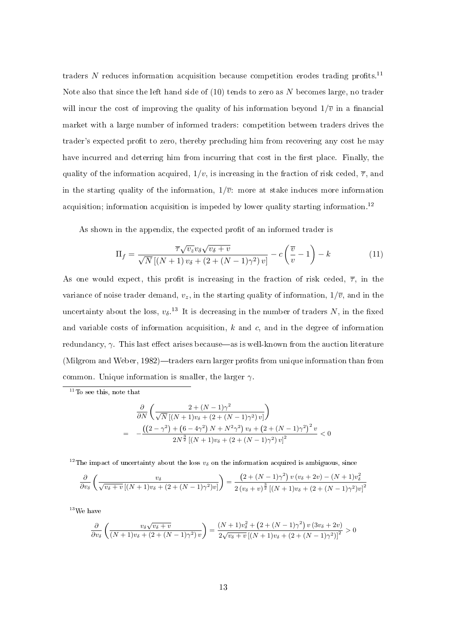traders  $N$  reduces information acquisition because competition erodes trading profits.<sup>11</sup> Note also that since the left hand side of (10) tends to zero as N becomes large, no trader will incur the cost of improving the quality of his information beyond  $1/\overline{v}$  in a financial market with a large number of informed traders: competition between traders drives the trader's expected profit to zero, thereby precluding him from recovering any cost he may have incurred and deterring him from incurring that cost in the first place. Finally, the quality of the information acquired,  $1/v$ , is increasing in the fraction of risk ceded,  $\overline{\tau}$ , and in the starting quality of the information,  $1/\overline{v}$ : more at stake induces more information acquisition; information acquisition is impeded by lower quality starting information.<sup>12</sup>

As shown in the appendix, the expected profit of an informed trader is

$$
\Pi_f = \frac{\overline{\tau}\sqrt{v_z}v_\delta\sqrt{v_\delta + v}}{\sqrt{N}\left[(N+1)v_\delta + (2 + (N-1)\gamma^2)v\right]} - c\left(\frac{\overline{v}}{v} - 1\right) - k\tag{11}
$$

As one would expect, this profit is increasing in the fraction of risk ceded,  $\overline{\tau}$ , in the variance of noise trader demand,  $v_z$ , in the starting quality of information,  $1/\overline{v}$ , and in the uncertainty about the loss,  $v_{\delta}$ .<sup>13</sup> It is decreasing in the number of traders N, in the fixed and variable costs of information acquisition,  $k$  and  $c$ , and in the degree of information redundancy,  $\gamma$ . This last effect arises because—as is well-known from the auction literature (Milgrom and Weber, 1982)—traders earn larger profits from unique information than from common. Unique information is smaller, the larger  $\gamma$ .

<sup>11</sup>To see this, note that

$$
\frac{\partial}{\partial N} \left( \frac{2 + (N - 1)\gamma^2}{\sqrt{N} \left[ (N + 1)v_\delta + (2 + (N - 1)\gamma^2) v \right]} \right)
$$
\n
$$
= -\frac{\left( \left( 2 - \gamma^2 \right) + \left( 6 - 4\gamma^2 \right) N + N^2 \gamma^2 \right) v_\delta + \left( 2 + (N - 1)\gamma^2 \right)^2 v}{2N^{\frac{3}{2}} \left[ (N + 1)v_\delta + (2 + (N - 1)\gamma^2) v \right]^2} < 0
$$

<sup>12</sup>The impact of uncertainty about the loss  $v_{\delta}$  on the information acquired is ambiguous, since

$$
\frac{\partial}{\partial v_{\delta}}\left(\frac{v_{\delta}}{\sqrt{v_{\delta}+v}\left[(N+1)v_{\delta}+(2+(N-1)\gamma^{2})v\right]}\right)=\frac{\left(2+(N-1)\gamma^{2}\right)v\left(v_{\delta}+2v\right)-\left(N+1\right)v_{\delta}^{2}}{2\left(v_{\delta}+v\right)^{\frac{3}{2}}\left[(N+1)v_{\delta}+(2+(N-1)\gamma^{2})v\right]^{2}}
$$

 $^{13}$  We have

$$
\frac{\partial}{\partial v_{\delta}}\left(\frac{v_{\delta}\sqrt{v_{\delta}+v}}{(N+1)v_{\delta}+(2+(N-1)\gamma^{2})v}\right)=\frac{(N+1)v_{\delta}^{2}+(2+(N-1)\gamma^{2})v(3v_{\delta}+2v)}{2\sqrt{v_{\delta}+v}\left[(N+1)v_{\delta}+(2+(N-1)\gamma^{2})\right]^{2}}>0
$$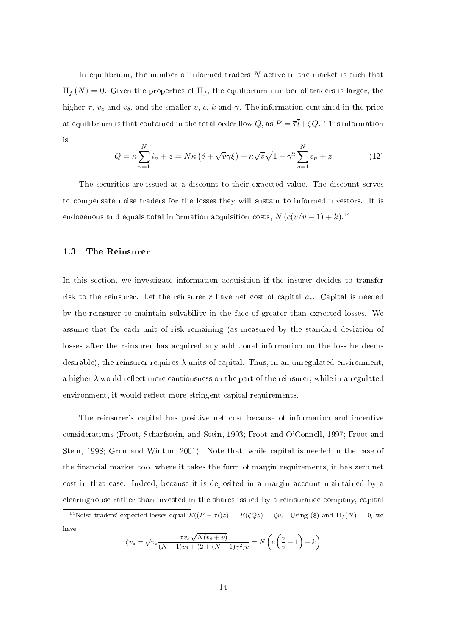In equilibrium, the number of informed traders N active in the market is such that  $\Pi_f(N) = 0$ . Given the properties of  $\Pi_f$ , the equilibrium number of traders is larger, the higher  $\bar{\tau}$ ,  $v_z$  and  $v_{\delta}$ , and the smaller  $\bar{v}$ , c, k and  $\gamma$ . The information contained in the price at equilibrium is that contained in the total order flow  $Q$ , as  $P = \overline{\tau} \overline{l} + \zeta Q$ . This information is

$$
Q = \kappa \sum_{n=1}^{N} i_n + z = N\kappa \left( \delta + \sqrt{\nu} \gamma \xi \right) + \kappa \sqrt{\nu} \sqrt{1 - \gamma^2} \sum_{n=1}^{N} \epsilon_n + z \tag{12}
$$

The securities are issued at a discount to their expected value. The discount serves to compensate noise traders for the losses they will sustain to informed investors. It is endogenous and equals total information acquisition costs,  $N \left( c(\overline{v}/v - 1) + k \right)^{14}$ 

#### 1.3 The Reinsurer

In this section, we investigate information acquisition if the insurer decides to transfer risk to the reinsurer. Let the reinsurer r have net cost of capital  $a_r$ . Capital is needed by the reinsurer to maintain solvability in the face of greater than expected losses. We assume that for each unit of risk remaining (as measured by the standard deviation of losses after the reinsurer has acquired any additional information on the loss he deems desirable), the reinsurer requires  $\lambda$  units of capital. Thus, in an unregulated environment, a higher  $\lambda$  would reflect more cautiousness on the part of the reinsurer, while in a regulated environment, it would reflect more stringent capital requirements.

The reinsurer's capital has positive net cost because of information and incentive considerations (Froot, Scharfstein, and Stein, 1993; Froot and O'Connell, 1997; Froot and Stein, 1998; Gron and Winton, 2001). Note that, while capital is needed in the case of the financial market too, where it takes the form of margin requirements, it has zero net cost in that case. Indeed, because it is deposited in a margin account maintained by a clearinghouse rather than invested in the shares issued by a reinsurance company, capital

<sup>14</sup>Noise traders' expected losses equal  $E((P - \overline{\tau} \overline{l})z) = E(\zeta Qz) = \zeta v_z$ . Using (8) and  $\Pi_f(N) = 0$ , we have

$$
\zeta v_z = \sqrt{v_z} \frac{\overline{\tau} v_\delta \sqrt{N(v_\delta + v)}}{(N+1)v_\delta + (2 + (N-1)\gamma^2)v} = N\left(c\left(\frac{\overline{v}}{v} - 1\right) + k\right)
$$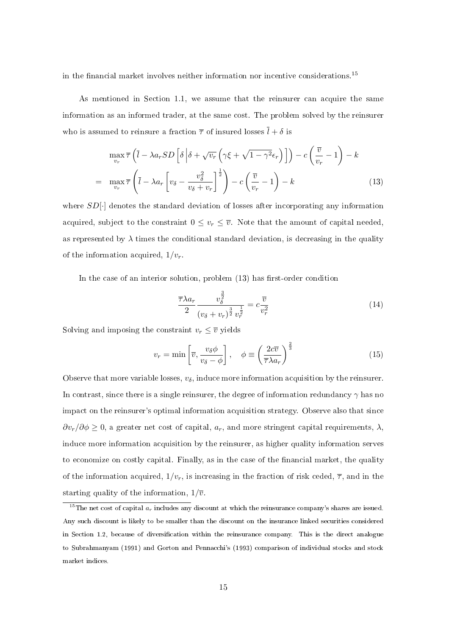in the financial market involves neither information nor incentive considerations.<sup>15</sup>

As mentioned in Section 1.1, we assume that the reinsurer can acquire the same information as an informed trader, at the same cost. The problem solved by the reinsurer who is assumed to reinsure a fraction  $\bar{\tau}$  of insured losses  $\bar{l} + \delta$  is

$$
\max_{v_r} \overline{\tau} \left( \overline{l} - \lambda a_r SD \left[ \delta \left| \delta + \sqrt{v_r} \left( \gamma \xi + \sqrt{1 - \gamma^2} \epsilon_r \right) \right] \right) - c \left( \frac{\overline{v}}{v_r} - 1 \right) - k
$$
\n
$$
= \max_{v_r} \overline{\tau} \left( \overline{l} - \lambda a_r \left[ v_\delta - \frac{v_\delta^2}{v_\delta + v_r} \right]^\frac{1}{2} \right) - c \left( \frac{\overline{v}}{v_r} - 1 \right) - k \tag{13}
$$

where  $SD[\cdot]$  denotes the standard deviation of losses after incorporating any information acquired, subject to the constraint  $0 \leq v_r \leq \overline{v}$ . Note that the amount of capital needed, as represented by  $\lambda$  times the conditional standard deviation, is decreasing in the quality of the information acquired,  $1/v_r$ .

In the case of an interior solution, problem  $(13)$  has first-order condition

$$
\frac{\overline{\tau}\lambda a_r}{2} \frac{v_\delta^{\frac{3}{2}}}{\left(v_\delta + v_r\right)^{\frac{3}{2}} v_r^{\frac{1}{2}}} = c \frac{\overline{v}}{v_r^2}
$$
\n(14)

Solving and imposing the constraint  $v_r \leq \overline{v}$  yields

$$
v_r = \min\left[\overline{v}, \frac{v_\delta \phi}{v_\delta - \phi}\right], \quad \phi \equiv \left(\frac{2c\overline{v}}{\overline{\tau}\lambda a_r}\right)^{\frac{2}{3}}\tag{15}
$$

Observe that more variable losses,  $v_{\delta}$ , induce more information acquisition by the reinsurer. In contrast, since there is a single reinsurer, the degree of information redundancy  $\gamma$  has no impact on the reinsurer's optimal information acquisition strategy. Observe also that since  $\partial v_r/\partial \phi \geq 0$ , a greater net cost of capital,  $a_r$ , and more stringent capital requirements,  $\lambda$ , induce more information acquisition by the reinsurer, as higher quality information serves to economize on costly capital. Finally, as in the case of the financial market, the quality of the information acquired,  $1/v_r$ , is increasing in the fraction of risk ceded,  $\overline{\tau}$ , and in the starting quality of the information,  $1/\overline{v}$ .

<sup>&</sup>lt;sup>15</sup>The net cost of capital  $a_r$  includes any discount at which the reinsurance company's shares are issued. Any such discount is likely to be smaller than the discount on the insurance linked securities considered in Section 1.2, because of diversification within the reinsurance company. This is the direct analogue to Subrahmanyam (1991) and Gorton and Pennacchi's (1993) comparison of individual stocks and stock market indices.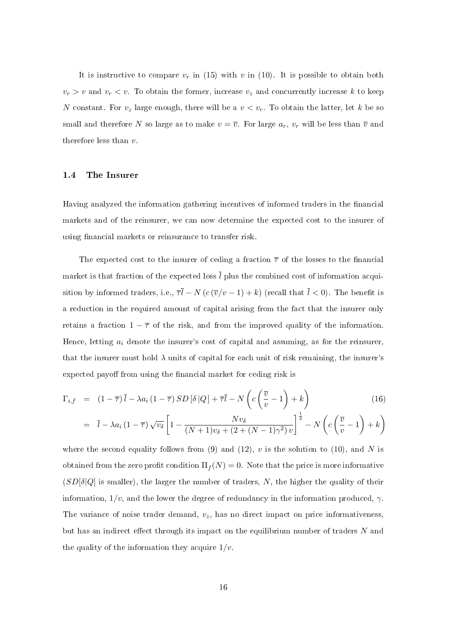It is instructive to compare  $v_r$  in (15) with v in (10). It is possible to obtain both  $v_r > v$  and  $v_r < v$ . To obtain the former, increase  $v_z$  and concurrently increase k to keep N constant. For  $v_z$  large enough, there will be a  $v < v_r$ . To obtain the latter, let k be so small and therefore N so large as to make  $v = \overline{v}$ . For large  $a_r$ ,  $v_r$  will be less than  $\overline{v}$  and therefore less than v.

#### 1.4 The Insurer

Having analyzed the information gathering incentives of informed traders in the financial markets and of the reinsurer, we can now determine the expected cost to the insurer of using financial markets or reinsurance to transfer risk.

The expected cost to the insurer of ceding a fraction  $\bar{\tau}$  of the losses to the financial market is that fraction of the expected loss  $\overline{l}$  plus the combined cost of information acquisition by informed traders, i.e.,  $\overline{\tau} \overline{l} - N (c (\overline{v}/v - 1) + k)$  (recall that  $\overline{l} < 0$ ). The benefit is a reduction in the required amount of capital arising from the fact that the insurer only retains a fraction  $1 - \overline{\tau}$  of the risk, and from the improved quality of the information. Hence, letting  $a_i$  denote the insurer's cost of capital and assuming, as for the reinsurer, that the insurer must hold  $\lambda$  units of capital for each unit of risk remaining, the insurer's expected payoff from using the financial market for ceding risk is

$$
\Gamma_{i,f} = (1 - \overline{\tau})\overline{l} - \lambda a_i (1 - \overline{\tau}) SD[\delta |Q] + \overline{\tau}\overline{l} - N\left(c\left(\frac{\overline{v}}{v} - 1\right) + k\right)
$$
(16)

$$
= \overline{l} - \lambda a_i (1 - \overline{\tau}) \sqrt{v_\delta} \left[ 1 - \frac{N v_\delta}{(N+1) v_\delta + (2 + (N-1)\gamma^2) v} \right]^{\frac{1}{2}} - N \left( c \left( \frac{\overline{v}}{v} - 1 \right) + k \right)
$$

where the second equality follows from (9) and (12),  $v$  is the solution to (10), and N is obtained from the zero profit condition  $\Pi_f(N) = 0$ . Note that the price is more informative  $(SD[\delta]Q]$  is smaller), the larger the number of traders, N, the higher the quality of their information,  $1/v$ , and the lower the degree of redundancy in the information produced,  $\gamma$ . The variance of noise trader demand,  $v_z$ , has no direct impact on price informativeness, but has an indirect effect through its impact on the equilibrium number of traders  $N$  and the quality of the information they acquire  $1/v$ .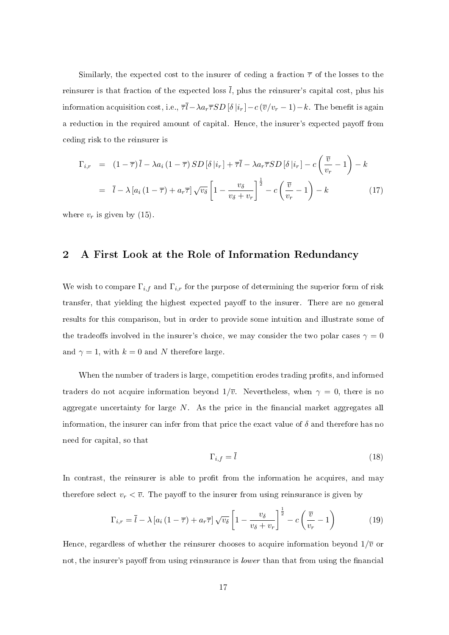Similarly, the expected cost to the insurer of ceding a fraction  $\bar{\tau}$  of the losses to the reinsurer is that fraction of the expected loss  $\overline{l}$ , plus the reinsurer's capital cost, plus his information acquisition cost, i.e.,  $\overline{\tau} \overline{l} - \lambda a_r \overline{\tau} SD [\delta | i_r] - c (\overline{v}/v_r - 1) - k$ . The benefit is again a reduction in the required amount of capital. Hence, the insurer's expected payoff from ceding risk to the reinsurer is

$$
\Gamma_{i,r} = (1 - \overline{\tau}) \overline{l} - \lambda a_i (1 - \overline{\tau}) SD [\delta | i_r] + \overline{\tau} \overline{l} - \lambda a_r \overline{\tau} SD [\delta | i_r] - c \left( \frac{\overline{v}}{v_r} - 1 \right) - k
$$
  

$$
= \overline{l} - \lambda [a_i (1 - \overline{\tau}) + a_r \overline{\tau}] \sqrt{v_\delta} \left[ 1 - \frac{v_\delta}{v_\delta + v_r} \right]^{\frac{1}{2}} - c \left( \frac{\overline{v}}{v_r} - 1 \right) - k
$$
(17)

where  $v_r$  is given by (15).

#### 2 A First Look at the Role of Information Redundancy

We wish to compare  $\Gamma_{i,f}$  and  $\Gamma_{i,r}$  for the purpose of determining the superior form of risk transfer, that yielding the highest expected payoff to the insurer. There are no general results for this comparison, but in order to provide some intuition and illustrate some of the tradeoffs involved in the insurer's choice, we may consider the two polar cases  $\gamma = 0$ and  $\gamma = 1$ , with  $k = 0$  and N therefore large.

When the number of traders is large, competition erodes trading profits, and informed traders do not acquire information beyond  $1/\overline{v}$ . Nevertheless, when  $\gamma = 0$ , there is no aggregate uncertainty for large  $N$ . As the price in the financial market aggregates all information, the insurer can infer from that price the exact value of  $\delta$  and therefore has no need for capital, so that

$$
\Gamma_{i,f} = \bar{l} \tag{18}
$$

In contrast, the reinsurer is able to profit from the information he acquires, and may therefore select  $v_r < \overline{v}$ . The payoff to the insurer from using reinsurance is given by

$$
\Gamma_{i,r} = \overline{l} - \lambda \left[ a_i \left( 1 - \overline{\tau} \right) + a_r \overline{\tau} \right] \sqrt{v_\delta} \left[ 1 - \frac{v_\delta}{v_\delta + v_r} \right]^{\frac{1}{2}} - c \left( \frac{\overline{v}}{v_r} - 1 \right)
$$
(19)

Hence, regardless of whether the reinsurer chooses to acquire information beyond  $1/\overline{v}$  or not, the insurer's payoff from using reinsurance is *lower* than that from using the financial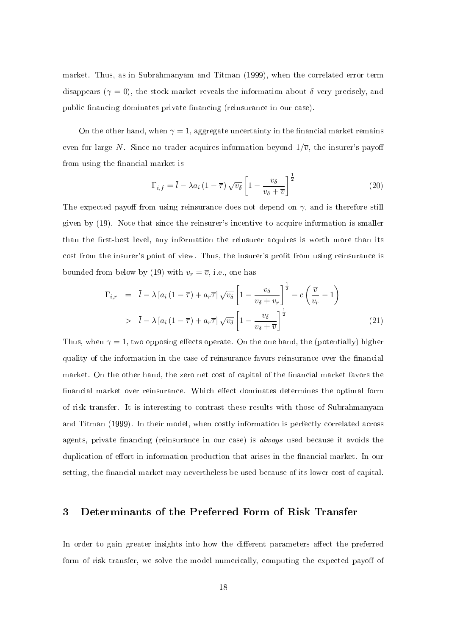market. Thus, as in Subrahmanyam and Titman (1999), when the correlated error term disappears ( $\gamma = 0$ ), the stock market reveals the information about  $\delta$  very precisely, and public financing dominates private financing (reinsurance in our case).

On the other hand, when  $\gamma = 1$ , aggregate uncertainty in the financial market remains even for large N. Since no trader acquires information beyond  $1/\overline{v}$ , the insurer's payoff from using the financial market is

$$
\Gamma_{i,f} = \overline{l} - \lambda a_i \left(1 - \overline{\tau}\right) \sqrt{v_\delta} \left[1 - \frac{v_\delta}{v_\delta + \overline{v}}\right]^{\frac{1}{2}}
$$
\n(20)

The expected payoff from using reinsurance does not depend on  $\gamma$ , and is therefore still given by (19). Note that since the reinsurer's incentive to acquire information is smaller than the first-best level, any information the reinsurer acquires is worth more than its cost from the insurer's point of view. Thus, the insurer's profit from using reinsurance is bounded from below by (19) with  $v_r = \overline{v}$ , i.e., one has

$$
\Gamma_{i,r} = \bar{l} - \lambda \left[ a_i \left( 1 - \overline{\tau} \right) + a_r \overline{\tau} \right] \sqrt{v_\delta} \left[ 1 - \frac{v_\delta}{v_\delta + v_r} \right]^{\frac{1}{2}} - c \left( \frac{\overline{v}}{v_r} - 1 \right)
$$
\n
$$
> \bar{l} - \lambda \left[ a_i \left( 1 - \overline{\tau} \right) + a_r \overline{\tau} \right] \sqrt{v_\delta} \left[ 1 - \frac{v_\delta}{v_\delta + \overline{v}} \right]^{\frac{1}{2}} \tag{21}
$$

Thus, when  $\gamma = 1$ , two opposing effects operate. On the one hand, the (potentially) higher quality of the information in the case of reinsurance favors reinsurance over the financial market. On the other hand, the zero net cost of capital of the financial market favors the financial market over reinsurance. Which effect dominates determines the optimal form of risk transfer. It is interesting to contrast these results with those of Subrahmanyam and Titman (1999). In their model, when costly information is perfectly correlated across agents, private financing (reinsurance in our case) is *always* used because it avoids the duplication of effort in information production that arises in the financial market. In our setting, the financial market may nevertheless be used because of its lower cost of capital.

#### 3 Determinants of the Preferred Form of Risk Transfer

In order to gain greater insights into how the different parameters affect the preferred form of risk transfer, we solve the model numerically, computing the expected payoff of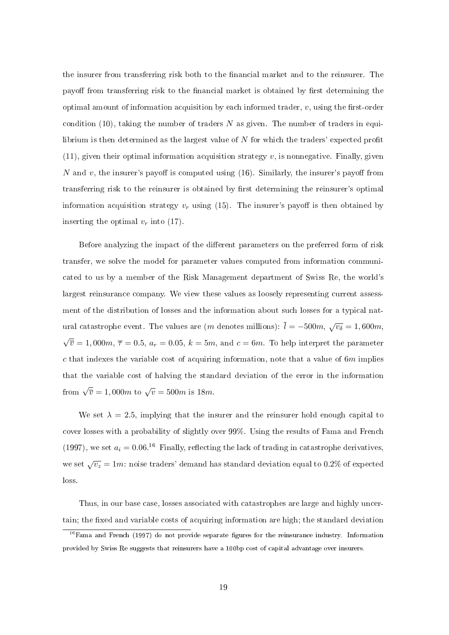the insurer from transferring risk both to the financial market and to the reinsurer. The payoff from transferring risk to the financial market is obtained by first determining the optimal amount of information acquisition by each informed trader,  $v$ , using the first-order condition (10), taking the number of traders  $N$  as given. The number of traders in equilibrium is then determined as the largest value of  $N$  for which the traders' expected profit  $(11)$ , given their optimal information acquisition strategy v, is nonnegative. Finally, given N and v, the insurer's payoff is computed using  $(16)$ . Similarly, the insurer's payoff from transferring risk to the reinsurer is obtained by first determining the reinsurer's optimal information acquisition strategy  $v_r$  using (15). The insurer's payoff is then obtained by inserting the optimal  $v_r$  into (17).

Before analyzing the impact of the different parameters on the preferred form of risk transfer, we solve the model for parameter values computed from information communicated to us by a member of the Risk Management department of Swiss Re, the world's largest reinsurance company. We view these values as loosely representing current assessment of the distribution of losses and the information about such losses for a typical natural catastrophe event. The values are  $(m$  denotes millions):  $\overline{l} = -500m, \sqrt{v_\delta} = 1,600m,$ √  $\overline{\overline{v}} = 1,000m,\, \overline{\tau} = 0.5,\, a_r = 0.05,\, k = 5m, \,\text{and}\,\, c = 6m.$  To help interpret the parameter c that indexes the variable cost of acquiring information, note that a value of  $6m$  implies that the variable cost of halving the standard deviation of the error in the information from  $\sqrt{\overline{v}} = 1,000m$  to  $\sqrt{\overline{v}} = 500m$  is 18m.

We set  $\lambda = 2.5$ , implying that the insurer and the reinsurer hold enough capital to cover losses with a probability of slightly over 99%. Using the results of Fama and French (1997), we set  $a_i = 0.06$ .<sup>16</sup> Finally, reflecting the lack of trading in catastrophe derivatives, we set  $\sqrt{v_z}=1m$ : noise traders' demand has standard deviation equal to 0.2% of expected loss.

Thus, in our base case, losses associated with catastrophes are large and highly uncertain; the fixed and variable costs of acquiring information are high; the standard deviation

 $16$  Fama and French (1997) do not provide separate figures for the reinsurance industry. Information provided by Swiss Re suggests that reinsurers have a 100bp cost of capital advantage over insurers.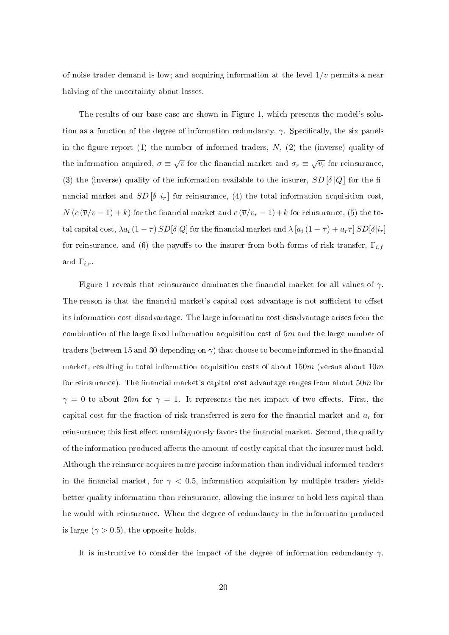of noise trader demand is low; and acquiring information at the level  $1/\overline{v}$  permits a near halving of the uncertainty about losses.

The results of our base case are shown in Figure 1, which presents the model's solution as a function of the degree of information redundancy,  $\gamma$ . Specifically, the six panels in the figure report (1) the number of informed traders,  $N$ , (2) the (inverse) quality of the information acquired,  $\sigma \equiv \sqrt{v}$  for the financial market and  $\sigma_r \equiv \sqrt{v_r}$  for reinsurance, (3) the (inverse) quality of the information available to the insurer,  $SD[\delta|Q]$  for the financial market and  $SD[\delta |i_r]$  for reinsurance, (4) the total information acquisition cost,  $N(c(\overline{v}/v-1)+k)$  for the financial market and  $c(\overline{v}/v_r-1)+k$  for reinsurance, (5) the total capital cost,  $\lambda a_i (1 - \overline{\tau}) SD[\delta]Q$  for the financial market and  $\lambda [a_i (1 - \overline{\tau}) + a_r \overline{\tau}] SD[\delta]i_r]$ for reinsurance, and (6) the payoffs to the insurer from both forms of risk transfer,  $\Gamma_{i,f}$ and  $\Gamma_{i,r}$ .

Figure 1 reveals that reinsurance dominates the financial market for all values of  $\gamma$ . The reason is that the financial market's capital cost advantage is not sufficient to offset its information cost disadvantage. The large information cost disadvantage arises from the combination of the large fixed information acquisition cost of  $5m$  and the large number of traders (between 15 and 30 depending on  $\gamma$ ) that choose to become informed in the financial market, resulting in total information acquisition costs of about  $150m$  (versus about  $10m$ for reinsurance). The financial market's capital cost advantage ranges from about  $50m$  for  $\gamma = 0$  to about 20m for  $\gamma = 1$ . It represents the net impact of two effects. First, the capital cost for the fraction of risk transferred is zero for the financial market and  $a_r$  for reinsurance; this first effect unambiguously favors the financial market. Second, the quality of the information produced affects the amount of costly capital that the insurer must hold. Although the reinsurer acquires more precise information than individual informed traders in the financial market, for  $\gamma$  < 0.5, information acquisition by multiple traders yields better quality information than reinsurance, allowing the insurer to hold less capital than he would with reinsurance. When the degree of redundancy in the information produced is large ( $\gamma > 0.5$ ), the opposite holds.

It is instructive to consider the impact of the degree of information redundancy  $\gamma$ .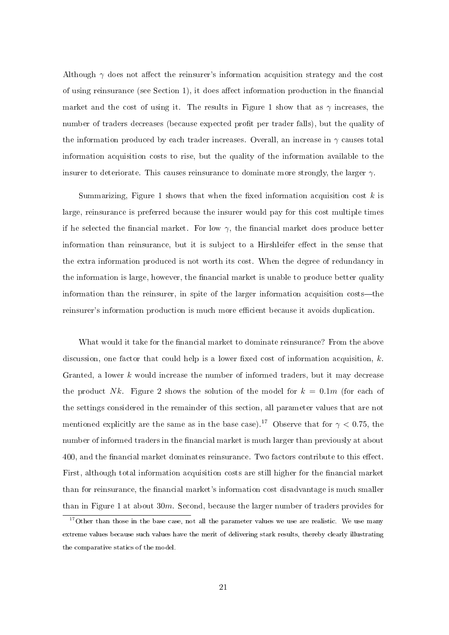Although  $\gamma$  does not affect the reinsurer's information acquisition strategy and the cost of using reinsurance (see Section 1), it does affect information production in the financial market and the cost of using it. The results in Figure 1 show that as  $\gamma$  increases, the number of traders decreases (because expected profit per trader falls), but the quality of the information produced by each trader increases. Overall, an increase in  $\gamma$  causes total information acquisition costs to rise, but the quality of the information available to the insurer to deteriorate. This causes reinsurance to dominate more strongly, the larger  $\gamma$ 

Summarizing, Figure 1 shows that when the fixed information acquisition cost  $k$  is large, reinsurance is preferred because the insurer would pay for this cost multiple times if he selected the financial market. For low  $\gamma$ , the financial market does produce better information than reinsurance, but it is subject to a Hirshleifer effect in the sense that the extra information produced is not worth its cost. When the degree of redundancy in the information is large, however, the financial market is unable to produce better quality information than the reinsurer, in spite of the larger information acquisition costs—the reinsurer's information production is much more efficient because it avoids duplication.

What would it take for the financial market to dominate reinsurance? From the above discussion, one factor that could help is a lower fixed cost of information acquisition,  $k$ . Granted, a lower  $k$  would increase the number of informed traders, but it may decrease the product Nk. Figure 2 shows the solution of the model for  $k = 0.1m$  (for each of the settings considered in the remainder of this section, all parameter values that are not mentioned explicitly are the same as in the base case).<sup>17</sup> Observe that for  $\gamma < 0.75$ , the number of informed traders in the financial market is much larger than previously at about 400, and the financial market dominates reinsurance. Two factors contribute to this effect. First, although total information acquisition costs are still higher for the financial market than for reinsurance, the financial market's information cost disadvantage is much smaller than in Figure 1 at about  $30m$ . Second, because the larger number of traders provides for

<sup>&</sup>lt;sup>17</sup> Other than those in the base case, not all the parameter values we use are realistic. We use many extreme values because such values have the merit of delivering stark results, thereby clearly illustrating the comparative statics of the model.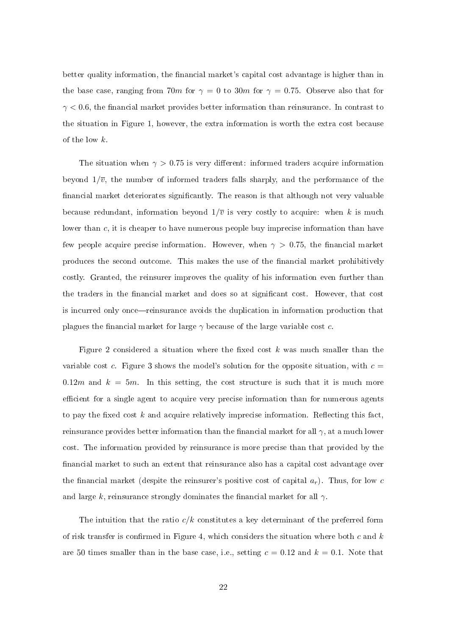better quality information, the financial market's capital cost advantage is higher than in the base case, ranging from 70m for  $\gamma = 0$  to 30m for  $\gamma = 0.75$ . Observe also that for  $\gamma$  < 0.6, the financial market provides better information than reinsurance. In contrast to the situation in Figure 1, however, the extra information is worth the extra cost because of the low k.

The situation when  $\gamma > 0.75$  is very different: informed traders acquire information beyond  $1/\overline{v}$ , the number of informed traders falls sharply, and the performance of the financial market deteriorates significantly. The reason is that although not very valuable because redundant, information beyond  $1/\overline{v}$  is very costly to acquire: when k is much lower than c, it is cheaper to have numerous people buy imprecise information than have few people acquire precise information. However, when  $\gamma > 0.75$ , the financial market produces the second outcome. This makes the use of the nancial market prohibitively costly. Granted, the reinsurer improves the quality of his information even further than the traders in the financial market and does so at significant cost. However, that cost is incurred only once—reinsurance avoids the duplication in information production that plagues the financial market for large  $\gamma$  because of the large variable cost c.

Figure 2 considered a situation where the fixed cost  $k$  was much smaller than the variable cost c. Figure 3 shows the model's solution for the opposite situation, with  $c =$ 0.12m and  $k = 5m$ . In this setting, the cost structure is such that it is much more efficient for a single agent to acquire very precise information than for numerous agents to pay the fixed cost  $k$  and acquire relatively imprecise information. Reflecting this fact, reinsurance provides better information than the financial market for all  $\gamma$ , at a much lower cost. The information provided by reinsurance is more precise than that provided by the financial market to such an extent that reinsurance also has a capital cost advantage over the financial market (despite the reinsurer's positive cost of capital  $a_r$ ). Thus, for low c and large k, reinsurance strongly dominates the financial market for all  $\gamma$ .

The intuition that the ratio  $c/k$  constitutes a key determinant of the preferred form of risk transfer is confirmed in Figure 4, which considers the situation where both c and  $k$ are 50 times smaller than in the base case, i.e., setting  $c = 0.12$  and  $k = 0.1$ . Note that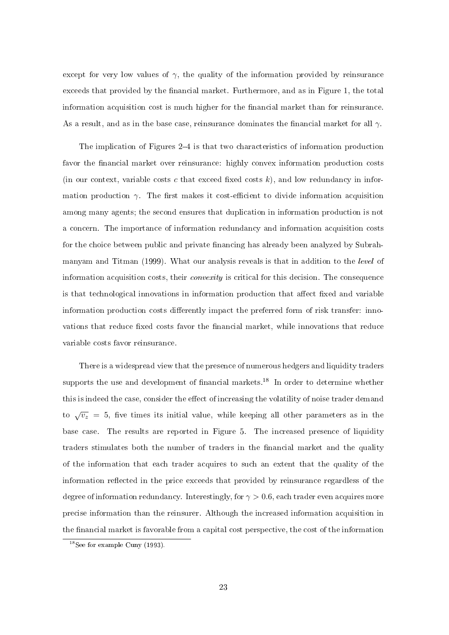except for very low values of  $\gamma$ , the quality of the information provided by reinsurance exceeds that provided by the financial market. Furthermore, and as in Figure 1, the total information acquisition cost is much higher for the financial market than for reinsurance. As a result, and as in the base case, reinsurance dominates the financial market for all  $\gamma$ .

The implication of Figures  $2-4$  is that two characteristics of information production favor the financial market over reinsurance: highly convex information production costs (in our context, variable costs c that exceed fixed costs  $k$ ), and low redundancy in information production  $\gamma$ . The first makes it cost-efficient to divide information acquisition among many agents; the second ensures that duplication in information production is not a concern. The importance of information redundancy and information acquisition costs for the choice between public and private financing has already been analyzed by Subrahmanyam and Titman (1999). What our analysis reveals is that in addition to the level of information acquisition costs, their *convexity* is critical for this decision. The consequence is that technological innovations in information production that affect fixed and variable information production costs differently impact the preferred form of risk transfer: innovations that reduce fixed costs favor the financial market, while innovations that reduce variable costs favor reinsurance.

There is a widespread view that the presence of numerous hedgers and liquidity traders supports the use and development of financial markets.<sup>18</sup> In order to determine whether this is indeed the case, consider the effect of increasing the volatility of noise trader demand to  $\sqrt{v_z}$  = 5, five times its initial value, while keeping all other parameters as in the base case. The results are reported in Figure 5. The increased presence of liquidity traders stimulates both the number of traders in the financial market and the quality of the information that each trader acquires to such an extent that the quality of the information reflected in the price exceeds that provided by reinsurance regardless of the degree of information redundancy. Interestingly, for  $\gamma > 0.6$ , each trader even acquires more precise information than the reinsurer. Although the increased information acquisition in the financial market is favorable from a capital cost perspective, the cost of the information

<sup>&</sup>lt;sup>18</sup>See for example Cuny  $(1993)$ .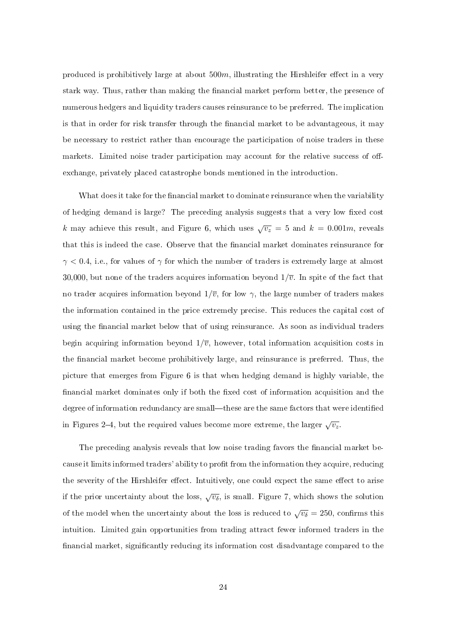produced is prohibitively large at about  $500m$ , illustrating the Hirshleifer effect in a very stark way. Thus, rather than making the financial market perform better, the presence of numerous hedgers and liquidity traders causes reinsurance to be preferred. The implication is that in order for risk transfer through the financial market to be advantageous, it may be necessary to restrict rather than encourage the participation of noise traders in these markets. Limited noise trader participation may account for the relative success of offexchange, privately placed catastrophe bonds mentioned in the introduction.

What does it take for the financial market to dominate reinsurance when the variability of hedging demand is large? The preceding analysis suggests that a very low fixed cost k may achieve this result, and Figure 6, which uses  $\sqrt{v_z} = 5$  and  $k = 0.001m$ , reveals that this is indeed the case. Observe that the financial market dominates reinsurance for  $\gamma$  < 0.4, i.e., for values of  $\gamma$  for which the number of traders is extremely large at almost 30,000, but none of the traders acquires information beyond  $1/\overline{v}$ . In spite of the fact that no trader acquires information beyond  $1/\overline{v}$ , for low  $\gamma$ , the large number of traders makes the information contained in the price extremely precise. This reduces the capital cost of using the financial market below that of using reinsurance. As soon as individual traders begin acquiring information beyond  $1/\overline{v}$ , however, total information acquisition costs in the financial market become prohibitively large, and reinsurance is preferred. Thus, the picture that emerges from Figure 6 is that when hedging demand is highly variable, the financial market dominates only if both the fixed cost of information acquisition and the degree of information redundancy are small—these are the same factors that were identified in Figures 2–4, but the required values become more extreme, the larger  $\sqrt{v_z}$ .

The preceding analysis reveals that low noise trading favors the financial market because it limits informed traders' ability to profit from the information they acquire, reducing the severity of the Hirshleifer effect. Intuitively, one could expect the same effect to arise if the prior uncertainty about the loss,  $\sqrt{v_\delta}$ , is small. Figure 7, which shows the solution of the model when the uncertainty about the loss is reduced to  $\sqrt{v_\delta} = 250$ , confirms this intuition. Limited gain opportunities from trading attract fewer informed traders in the financial market, significantly reducing its information cost disadvantage compared to the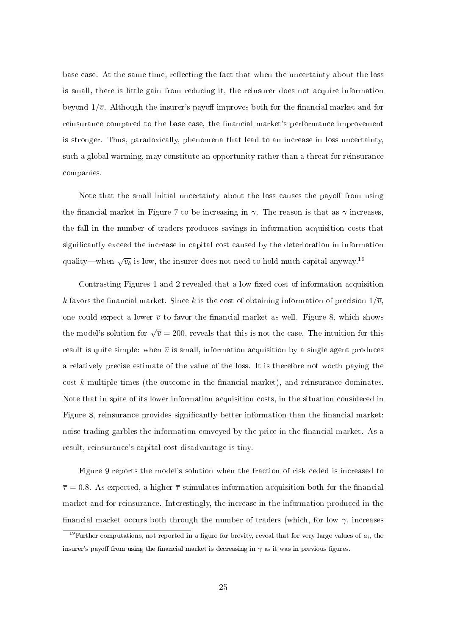base case. At the same time, reflecting the fact that when the uncertainty about the loss is small, there is little gain from reducing it, the reinsurer does not acquire information beyond  $1/\overline{v}$ . Although the insurer's payoff improves both for the financial market and for reinsurance compared to the base case, the financial market's performance improvement is stronger. Thus, paradoxically, phenomena that lead to an increase in loss uncertainty, such a global warming, may constitute an opportunity rather than a threat for reinsurance companies.

Note that the small initial uncertainty about the loss causes the payoff from using the financial market in Figure 7 to be increasing in  $\gamma$ . The reason is that as  $\gamma$  increases. the fall in the number of traders produces savings in information acquisition costs that signicantly exceed the increase in capital cost caused by the deterioration in information quality—when  $\sqrt{v_\delta}$  is low, the insurer does not need to hold much capital anyway.<sup>19</sup>

Contrasting Figures 1 and 2 revealed that a low fixed cost of information acquisition k favors the financial market. Since k is the cost of obtaining information of precision  $1/\overline{v}$ , one could expect a lower  $\bar{v}$  to favor the financial market as well. Figure 8, which shows the model's solution for  $\sqrt{\overline{v}}=200,$  reveals that this is not the case. The intuition for this result is quite simple: when  $\bar{v}$  is small, information acquisition by a single agent produces a relatively precise estimate of the value of the loss. It is therefore not worth paying the cost  $k$  multiple times (the outcome in the financial market), and reinsurance dominates. Note that in spite of its lower information acquisition costs, in the situation considered in Figure 8, reinsurance provides significantly better information than the financial market: noise trading garbles the information conveyed by the price in the financial market. As a result, reinsurance's capital cost disadvantage is tiny.

Figure 9 reports the model's solution when the fraction of risk ceded is increased to  $\bar{\tau} = 0.8$ . As expected, a higher  $\bar{\tau}$  stimulates information acquisition both for the financial market and for reinsurance. Interestingly, the increase in the information produced in the financial market occurs both through the number of traders (which, for low  $\gamma$ , increases

<sup>&</sup>lt;sup>19</sup>Further computations, not reported in a figure for brevity, reveal that for very large values of  $a_i$ , the insurer's payoff from using the financial market is decreasing in  $\gamma$  as it was in previous figures.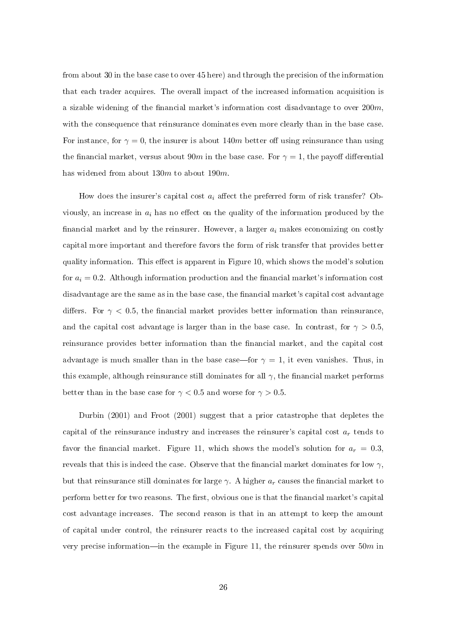from about 30 in the base case to over 45 here) and through the precision of the information that each trader acquires. The overall impact of the increased information acquisition is a sizable widening of the financial market's information cost disadvantage to over  $200m$ , with the consequence that reinsurance dominates even more clearly than in the base case. For instance, for  $\gamma = 0$ , the insurer is about 140m better off using reinsurance than using the financial market, versus about 90m in the base case. For  $\gamma = 1$ , the payoff differential has widened from about 130m to about 190m

How does the insurer's capital cost  $a_i$  affect the preferred form of risk transfer? Obviously, an increase in  $a_i$  has no effect on the quality of the information produced by the financial market and by the reinsurer. However, a larger  $a_i$  makes economizing on costly capital more important and therefore favors the form of risk transfer that provides better quality information. This effect is apparent in Figure 10, which shows the model's solution for  $a_i = 0.2$ . Although information production and the financial market's information cost disadvantage are the same as in the base case, the financial market's capital cost advantage differs. For  $\gamma$  < 0.5, the financial market provides better information than reinsurance, and the capital cost advantage is larger than in the base case. In contrast, for  $\gamma > 0.5$ , reinsurance provides better information than the financial market, and the capital cost advantage is much smaller than in the base case—for  $\gamma = 1$ , it even vanishes. Thus, in this example, although reinsurance still dominates for all  $\gamma$ , the financial market performs better than in the base case for  $\gamma < 0.5$  and worse for  $\gamma > 0.5$ .

Durbin (2001) and Froot (2001) suggest that a prior catastrophe that depletes the capital of the reinsurance industry and increases the reinsurer's capital cost  $a_r$  tends to favor the financial market. Figure 11, which shows the model's solution for  $a_r = 0.3$ , reveals that this is indeed the case. Observe that the financial market dominates for low  $\gamma$ , but that reinsurance still dominates for large  $\gamma$ . A higher  $a_r$  causes the financial market to perform better for two reasons. The first, obvious one is that the financial market's capital cost advantage increases. The second reason is that in an attempt to keep the amount of capital under control, the reinsurer reacts to the increased capital cost by acquiring very precise information—in the example in Figure 11, the reinsurer spends over  $50m$  in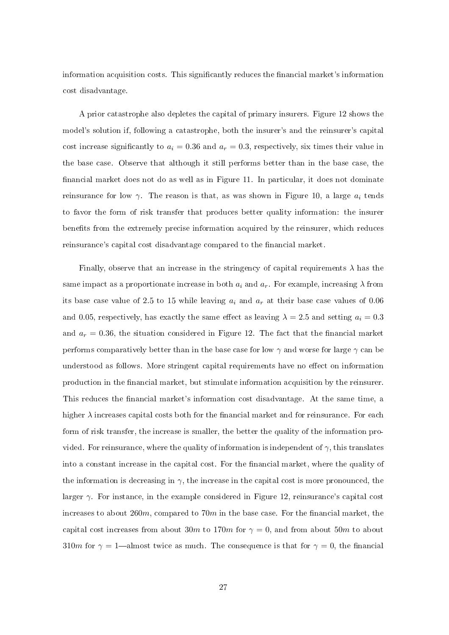information acquisition costs. This significantly reduces the financial market's information cost disadvantage.

A prior catastrophe also depletes the capital of primary insurers. Figure 12 shows the model's solution if, following a catastrophe, both the insurer's and the reinsurer's capital cost increase significantly to  $a_i = 0.36$  and  $a_r = 0.3$ , respectively, six times their value in the base case. Observe that although it still performs better than in the base case, the financial market does not do as well as in Figure 11. In particular, it does not dominate reinsurance for low  $\gamma$ . The reason is that, as was shown in Figure 10, a large  $a_i$  tends to favor the form of risk transfer that produces better quality information: the insurer benefits from the extremely precise information acquired by the reinsurer, which reduces reinsurance's capital cost disadvantage compared to the financial market.

Finally, observe that an increase in the stringency of capital requirements  $\lambda$  has the same impact as a proportionate increase in both  $a_i$  and  $a_r$ . For example, increasing  $\lambda$  from its base case value of 2.5 to 15 while leaving  $a_i$  and  $a_r$  at their base case values of 0.06 and 0.05, respectively, has exactly the same effect as leaving  $\lambda = 2.5$  and setting  $a_i = 0.3$ and  $a_r = 0.36$ , the situation considered in Figure 12. The fact that the financial market performs comparatively better than in the base case for low  $\gamma$  and worse for large  $\gamma$  can be understood as follows. More stringent capital requirements have no effect on information production in the nancial market, but stimulate information acquisition by the reinsurer. This reduces the financial market's information cost disadvantage. At the same time, a higher  $\lambda$  increases capital costs both for the financial market and for reinsurance. For each form of risk transfer, the increase is smaller, the better the quality of the information provided. For reinsurance, where the quality of information is independent of  $\gamma$ , this translates into a constant increase in the capital cost. For the financial market, where the quality of the information is decreasing in  $\gamma$ , the increase in the capital cost is more pronounced, the larger  $\gamma$ . For instance, in the example considered in Figure 12, reinsurance's capital cost increases to about 260m, compared to  $70m$  in the base case. For the financial market, the capital cost increases from about 30m to 170m for  $\gamma = 0$ , and from about 50m to about 310m for  $\gamma = 1$ —almost twice as much. The consequence is that for  $\gamma = 0$ , the financial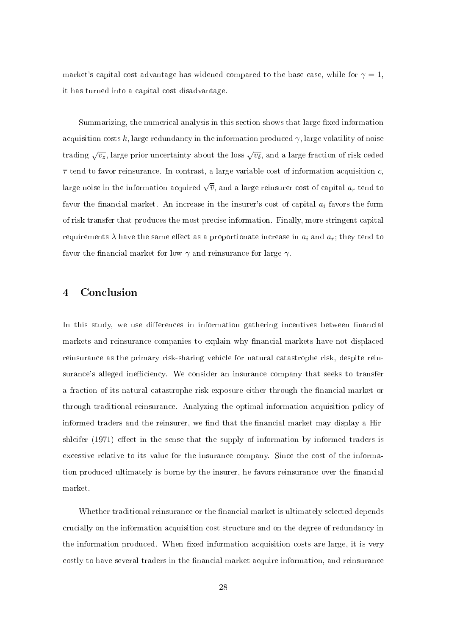market's capital cost advantage has widened compared to the base case, while for  $\gamma = 1$ , it has turned into a capital cost disadvantage.

Summarizing, the numerical analysis in this section shows that large fixed information acquisition costs k, large redundancy in the information produced  $\gamma$ , large volatility of noise trading  $\sqrt{v_z}$ , large prior uncertainty about the loss  $\sqrt{v_\delta}$ , and a large fraction of risk ceded  $\bar{\tau}$  tend to favor reinsurance. In contrast, a large variable cost of information acquisition c, large noise in the information acquired  $\sqrt{\overline{v}}$ , and a large reinsurer cost of capital  $a_r$  tend to favor the financial market. An increase in the insurer's cost of capital  $a_i$  favors the form of risk transfer that produces the most precise information. Finally, more stringent capital requirements  $\lambda$  have the same effect as a proportionate increase in  $a_i$  and  $a_r$ ; they tend to favor the financial market for low  $\gamma$  and reinsurance for large  $\gamma$ .

#### 4 Conclusion

In this study, we use differences in information gathering incentives between financial markets and reinsurance companies to explain why financial markets have not displaced reinsurance as the primary risk-sharing vehicle for natural catastrophe risk, despite reinsurance's alleged inefficiency. We consider an insurance company that seeks to transfer a fraction of its natural catastrophe risk exposure either through the financial market or through traditional reinsurance. Analyzing the optimal information acquisition policy of informed traders and the reinsurer, we find that the financial market may display a Hirshleifer  $(1971)$  effect in the sense that the supply of information by informed traders is excessive relative to its value for the insurance company. Since the cost of the information produced ultimately is borne by the insurer, he favors reinsurance over the financial market.

Whether traditional reinsurance or the financial market is ultimately selected depends crucially on the information acquisition cost structure and on the degree of redundancy in the information produced. When fixed information acquisition costs are large, it is very costly to have several traders in the financial market acquire information, and reinsurance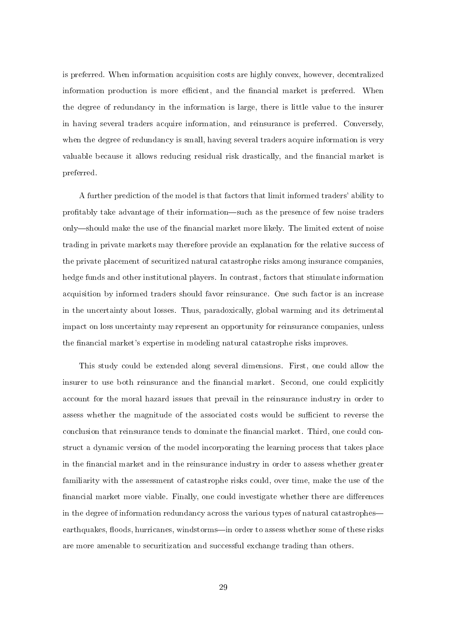is preferred. When information acquisition costs are highly convex, however, decentralized information production is more efficient, and the financial market is preferred. When the degree of redundancy in the information is large, there is little value to the insurer in having several traders acquire information, and reinsurance is preferred. Conversely, when the degree of redundancy is small, having several traders acquire information is very valuable because it allows reducing residual risk drastically, and the financial market is preferred.

A further prediction of the model is that factors that limit informed traders' ability to profitably take advantage of their information—such as the presence of few noise traders only—should make the use of the financial market more likely. The limited extent of noise trading in private markets may therefore provide an explanation for the relative success of the private placement of securitized natural catastrophe risks among insurance companies, hedge funds and other institutional players. In contrast, factors that stimulate information acquisition by informed traders should favor reinsurance. One such factor is an increase in the uncertainty about losses. Thus, paradoxically, global warming and its detrimental impact on loss uncertainty may represent an opportunity for reinsurance companies, unless the financial market's expertise in modeling natural catastrophe risks improves.

This study could be extended along several dimensions. First, one could allow the insurer to use both reinsurance and the financial market. Second, one could explicitly account for the moral hazard issues that prevail in the reinsurance industry in order to assess whether the magnitude of the associated costs would be sufficient to reverse the conclusion that reinsurance tends to dominate the financial market. Third, one could construct a dynamic version of the model incorporating the learning process that takes place in the financial market and in the reinsurance industry in order to assess whether greater familiarity with the assessment of catastrophe risks could, over time, make the use of the financial market more viable. Finally, one could investigate whether there are differences in the degree of information redundancy across the various types of natural catastrophes earthquakes, floods, hurricanes, windstorms—in order to assess whether some of these risks are more amenable to securitization and successful exchange trading than others.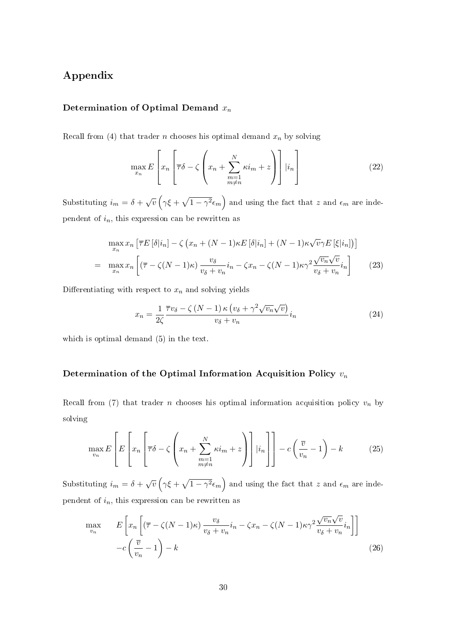### Appendix

#### Determination of Optimal Demand  $x_n$

Recall from (4) that trader *n* chooses his optimal demand  $x_n$  by solving

$$
\max_{x_n} E\left[x_n \left[\overline{\tau}\delta - \zeta \left(x_n + \sum_{\substack{m=1 \ m \neq n}}^N \kappa i_m + z\right)\right] |i_n\right] \tag{22}
$$

Substituting  $i_m = \delta + \sqrt{v}$  $\overline{a}$  $\gamma \xi +$ p  $1-\gamma^2\epsilon_m$ ´ and using the fact that  $z$  and  $\epsilon_m$  are independent of  $i_n$ , this expression can be rewritten as

$$
\max_{x_n} x_n \left[ \overline{\tau} E[\delta | i_n] - \zeta \left( x_n + (N-1)\kappa E[\delta | i_n] + (N-1)\kappa \sqrt{\nu} \gamma E[\xi | i_n] \right) \right]
$$
\n
$$
= \max_{x_n} x_n \left[ (\overline{\tau} - \zeta (N-1)\kappa) \frac{v_\delta}{v_\delta + v_n} i_n - \zeta x_n - \zeta (N-1)\kappa \gamma^2 \frac{\sqrt{v_n} \sqrt{v}}{v_\delta + v_n} i_n \right] \tag{23}
$$

Differentiating with respect to  $x_n$  and solving yields

$$
x_n = \frac{1}{2\zeta} \frac{\overline{\tau}v_\delta - \zeta (N-1)\kappa (v_\delta + \gamma^2 \sqrt{v_n} \sqrt{v})}{v_\delta + v_n} i_n
$$
 (24)

which is optimal demand (5) in the text.

#### Determination of the Optimal Information Acquisition Policy  $v_n$

Recall from (7) that trader *n* chooses his optimal information acquisition policy  $v_n$  by solving

$$
\max_{v_n} E\left[E\left[x_n \left[\overline{\tau}\delta - \zeta \left(x_n + \sum_{\substack{m=1 \ m \neq n}}^N \kappa i_m + z\right)\right] |i_n\right]\right] - c\left(\frac{\overline{v}}{v_n} - 1\right) - k\right]
$$
(25)

Substituting  $i_m = \delta + \sqrt{v}$  $\gamma \xi +$ p  $1-\gamma^2\epsilon_m$ and using the fact that  $z$  and  $\epsilon_m$  are independent of  $i_n$ , this expression can be rewritten as

$$
\max_{v_n} \qquad E\left[x_n\left[(\overline{\tau} - \zeta(N-1)\kappa)\frac{v_\delta}{v_\delta + v_n}i_n - \zeta x_n - \zeta(N-1)\kappa\gamma^2 \frac{\sqrt{v_n}\sqrt{v}}{v_\delta + v_n}i_n\right]\right] \\ - c\left(\frac{\overline{v}}{v_n} - 1\right) - k \tag{26}
$$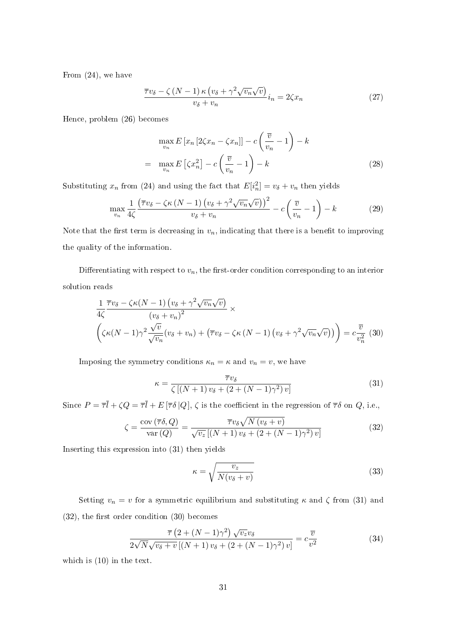From (24), we have

$$
\frac{\overline{\tau}v_{\delta} - \zeta (N-1)\kappa (v_{\delta} + \gamma^2 \sqrt{v_n} \sqrt{v})}{v_{\delta} + v_n} i_n = 2\zeta x_n
$$
\n(27)

Hence, problem (26) becomes

$$
\max_{v_n} E\left[x_n \left[2\zeta x_n - \zeta x_n\right]\right] - c\left(\frac{\overline{v}}{v_n} - 1\right) - k
$$
\n
$$
= \max_{v_n} E\left[\zeta x_n^2\right] - c\left(\frac{\overline{v}}{v_n} - 1\right) - k \tag{28}
$$

Substituting  $x_n$  from (24) and using the fact that  $E[i_n^2] = v_\delta + v_n$  then yields

$$
\max_{v_n} \frac{1}{4\zeta} \frac{\left(\overline{\tau}v_\delta - \zeta \kappa \left(N - 1\right) \left(v_\delta + \gamma^2 \sqrt{v_n} \sqrt{v}\right)\right)^2}{v_\delta + v_n} - c \left(\frac{\overline{v}}{v_n} - 1\right) - k \tag{29}
$$

Note that the first term is decreasing in  $v_n$ , indicating that there is a benefit to improving the quality of the information.

Differentiating with respect to  $v_n$ , the first-order condition corresponding to an interior solution reads

$$
\frac{1}{4\zeta} \frac{\overline{\tau}v_{\delta} - \zeta\kappa(N-1) (v_{\delta} + \gamma^2 \sqrt{v_n}\sqrt{v})}{(v_{\delta} + v_n)^2} \times
$$
\n
$$
\left(\zeta\kappa(N-1)\gamma^2 \frac{\sqrt{v}}{\sqrt{v_n}} (v_{\delta} + v_n) + (\overline{\tau}v_{\delta} - \zeta\kappa(N-1) (v_{\delta} + \gamma^2 \sqrt{v_n}\sqrt{v}))\right) = c \frac{\overline{v}}{v_n^2} (30)
$$

Imposing the symmetry conditions  $\kappa_n = \kappa$  and  $v_n = v$ , we have

$$
\kappa = \frac{\overline{\tau}v_{\delta}}{\zeta\left[\left(N+1\right)v_{\delta} + \left(2 + \left(N-1\right)\gamma^{2}\right)v\right]}
$$
\n(31)

Since  $P=\bar{\tau}\bar{l}+\zeta Q=\bar{\tau}\bar{l}+E\left[\bar{\tau}\delta\left|Q\right.\right],$   $\zeta$  is the coefficient in the regression of  $\bar{\tau}\delta$  on  $Q,$  i.e.,

$$
\zeta = \frac{\text{cov}\left(\overline{\tau}\delta, Q\right)}{\text{var}\left(Q\right)} = \frac{\overline{\tau}v_{\delta}\sqrt{N\left(v_{\delta} + v\right)}}{\sqrt{v_{z}\left[\left(N+1\right)v_{\delta} + \left(2 + \left(N-1\right)\gamma^{2}\right)v\right]}}\tag{32}
$$

Inserting this expression into (31) then yields

$$
\kappa = \sqrt{\frac{v_z}{N(v_\delta + v)}}\tag{33}
$$

Setting  $v_n = v$  for a symmetric equilibrium and substituting  $\kappa$  and  $\zeta$  from (31) and  $(32)$ , the first order condition  $(30)$  becomes

$$
\frac{\overline{\tau}\left(2 + (N-1)\gamma^2\right)\sqrt{v_z}v_\delta}{2\sqrt{N}\sqrt{v_\delta + v}\left[(N+1)v_\delta + (2 + (N-1)\gamma^2)v\right]} = c\frac{\overline{v}}{v^2}
$$
\n(34)

which is (10) in the text.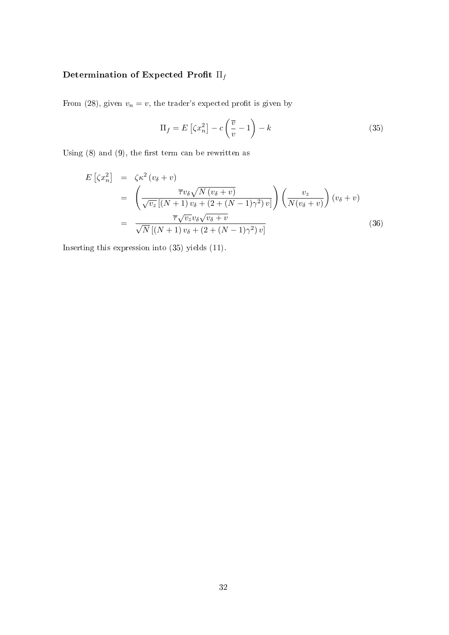### Determination of Expected Profit $\Pi_f$

From (28), given  $v_n = v$ , the trader's expected profit is given by

$$
\Pi_f = E\left[\zeta x_n^2\right] - c\left(\frac{\overline{v}}{v} - 1\right) - k\tag{35}
$$

Using  $(8)$  and  $(9)$ , the first term can be rewritten as

$$
E\left[\zeta x_n^2\right] = \zeta \kappa^2 \left(v_\delta + v\right)
$$
  
= 
$$
\left(\frac{\overline{\tau} v_\delta \sqrt{N \left(v_\delta + v\right)}}{\sqrt{v_z} \left[(N+1) v_\delta + \left(2 + (N-1)\gamma^2\right) v\right]}\right) \left(\frac{v_z}{N \left(v_\delta + v\right)}\right) \left(v_\delta + v\right)
$$
  
= 
$$
\frac{\overline{\tau} \sqrt{v_z} v_\delta \sqrt{v_\delta + v}}{\sqrt{N} \left[(N+1) v_\delta + \left(2 + (N-1)\gamma^2\right) v\right]}
$$
(36)

Inserting this expression into (35) yields (11).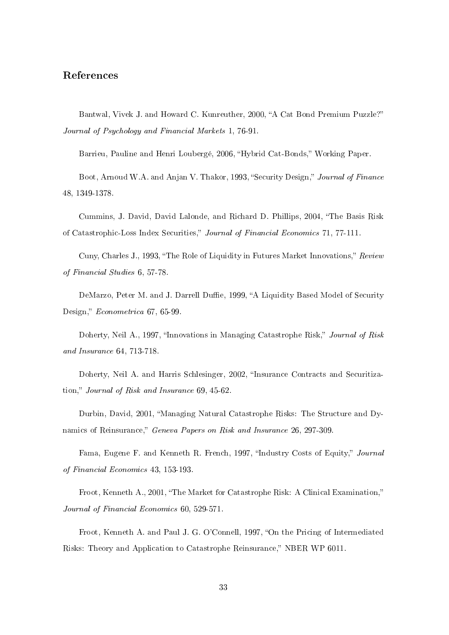#### References

Bantwal, Vivek J. and Howard C. Kunreuther, 2000, "A Cat Bond Premium Puzzle?" Journal of Psychology and Financial Markets 1, 76-91.

Barrieu, Pauline and Henri Loubergé, 2006, "Hybrid Cat-Bonds," Working Paper.

Boot, Arnoud W.A. and Anjan V. Thakor, 1993, "Security Design," Journal of Finance 48, 1349-1378.

Cummins, J. David, David Lalonde, and Richard D. Phillips, 2004, The Basis Risk of Catastrophic-Loss Index Securities," Journal of Financial Economics 71, 77-111.

Cuny, Charles J., 1993, "The Role of Liquidity in Futures Market Innovations," Review of Financial Studies 6, 57-78.

DeMarzo, Peter M. and J. Darrell Duffie, 1999, "A Liquidity Based Model of Security Design," Econometrica 67, 65-99.

Doherty, Neil A., 1997, "Innovations in Managing Catastrophe Risk," Journal of Risk and Insurance 64, 713-718.

Doherty, Neil A. and Harris Schlesinger, 2002, "Insurance Contracts and Securitization," Journal of Risk and Insurance 69, 45-62.

Durbin, David, 2001, "Managing Natural Catastrophe Risks: The Structure and Dynamics of Reinsurance," Geneva Papers on Risk and Insurance 26, 297-309.

Fama, Eugene F. and Kenneth R. French, 1997, "Industry Costs of Equity," Journal of Financial Economics 43, 153-193.

Froot, Kenneth A., 2001, "The Market for Catastrophe Risk: A Clinical Examination," Journal of Financial Economics 60, 529-571.

Froot, Kenneth A. and Paul J. G. O'Connell, 1997, "On the Pricing of Intermediated Risks: Theory and Application to Catastrophe Reinsurance," NBER WP 6011.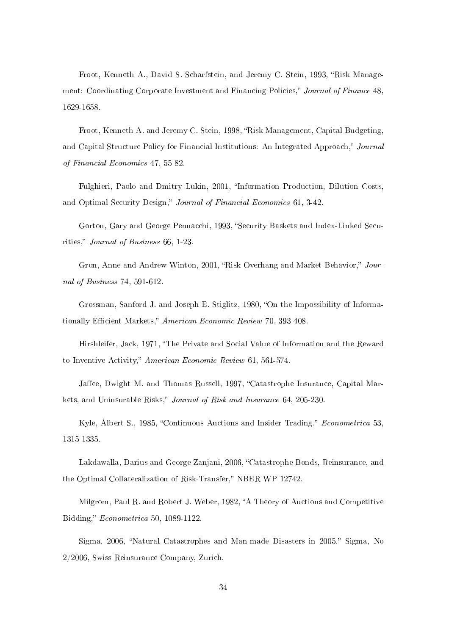Froot, Kenneth A., David S. Scharfstein, and Jeremy C. Stein, 1993, "Risk Management: Coordinating Corporate Investment and Financing Policies," Journal of Finance 48, 1629-1658.

Froot, Kenneth A. and Jeremy C. Stein, 1998, "Risk Management, Capital Budgeting, and Capital Structure Policy for Financial Institutions: An Integrated Approach," Journal of Financial Economics 47, 55-82.

Fulghieri, Paolo and Dmitry Lukin, 2001, "Information Production, Dilution Costs, and Optimal Security Design," Journal of Financial Economics 61, 3-42.

Gorton, Gary and George Pennacchi, 1993, "Security Baskets and Index-Linked Securities," Journal of Business  $66, 1-23$ .

Gron, Anne and Andrew Winton, 2001, "Risk Overhang and Market Behavior," Journal of Business 74, 591-612.

Grossman, Sanford J. and Joseph E. Stiglitz, 1980, "On the Impossibility of Informationally Efficient Markets," American Economic Review 70, 393-408.

Hirshleifer, Jack, 1971, "The Private and Social Value of Information and the Reward to Inventive Activity," American Economic Review 61, 561-574.

Jaffee, Dwight M. and Thomas Russell, 1997, "Catastrophe Insurance, Capital Markets, and Uninsurable Risks," Journal of Risk and Insurance 64, 205-230.

Kyle, Albert S., 1985, "Continuous Auctions and Insider Trading," *Econometrica* 53, 1315-1335.

Lakdawalla, Darius and George Zanjani, 2006, "Catastrophe Bonds, Reinsurance, and the Optimal Collateralization of Risk-Transfer," NBER WP 12742.

Milgrom, Paul R. and Robert J. Weber, 1982, "A Theory of Auctions and Competitive Bidding," *Econometrica* 50, 1089-1122.

Sigma, 2006, "Natural Catastrophes and Man-made Disasters in 2005." Sigma, No 2/2006, Swiss Reinsurance Company, Zurich.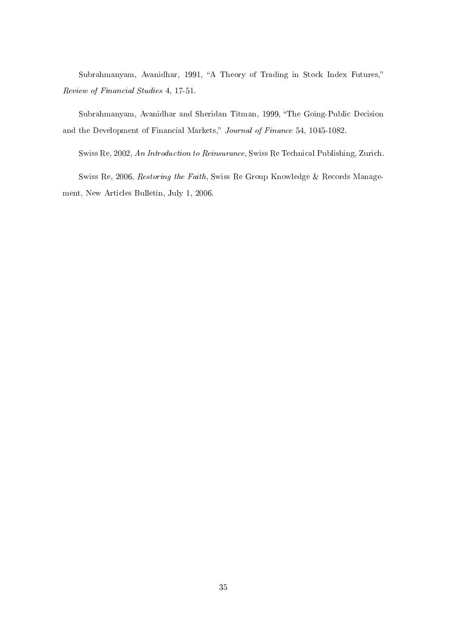Subrahmanyam, Avanidhar, 1991, "A Theory of Trading in Stock Index Futures," Review of Financial Studies 4, 17-51.

Subrahmanyam, Avanidhar and Sheridan Titman, 1999, "The Going-Public Decision and the Development of Financial Markets," Journal of Finance 54, 1045-1082.

Swiss Re, 2002, An Introduction to Reinsurance, Swiss Re Technical Publishing, Zurich.

Swiss Re, 2006, Restoring the Faith, Swiss Re Group Knowledge & Records Management, New Articles Bulletin, July 1, 2006.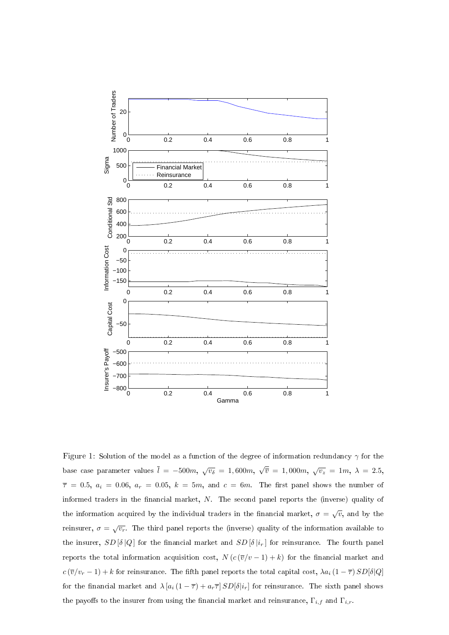

Figure 1: Solution of the model as a function of the degree of information redundancy  $\gamma$  for the base case parameter values  $\overline{l} = -500m$ ,  $\sqrt{v_\delta} = 1,600m$ , √  $\overline{\overline{v}} = 1,000m, \sqrt{v_z} = 1m, \ \lambda = 2.5,$  $\overline{\tau}$  = 0.5,  $a_i$  = 0.06,  $a_r$  = 0.05,  $k = 5m$ , and  $c = 6m$ . The first panel shows the number of informed traders in the financial market,  $N$ . The second panel reports the (inverse) quality of the information acquired by the individual traders in the financial market,  $\sigma = \sqrt{v}$ , and by the reinsurer,  $\sigma = \sqrt{v_r}$ . The third panel reports the (inverse) quality of the information available to the insurer,  $SD[\delta|Q]$  for the financial market and  $SD[\delta|_{r}]$  for reinsurance. The fourth panel reports the total information acquisition cost,  $N(c(\overline{v}/v-1)+k)$  for the financial market and  $c(\overline{v}/v_r-1)+k$  for reinsurance. The fifth panel reports the total capital cost,  $\lambda a_i(1-\overline{\tau})$   $SD[\delta]Q$ for the financial market and  $\lambda [a_i (1 - \overline{\tau}) + a_r \overline{\tau}] SD[\delta | i_r]$  for reinsurance. The sixth panel shows the payoffs to the insurer from using the financial market and reinsurance,  $\Gamma_{i,f}$  and  $\Gamma_{i,r}$ .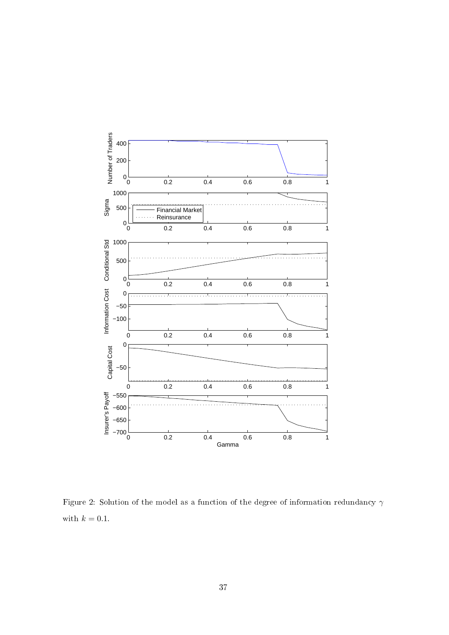

Figure 2: Solution of the model as a function of the degree of information redundancy  $\gamma$ with  $k = 0.1$ .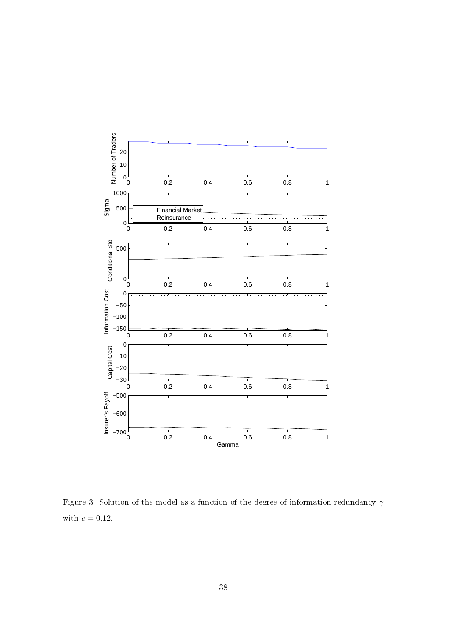

Figure 3: Solution of the model as a function of the degree of information redundancy  $\gamma$ with  $c = 0.12$ .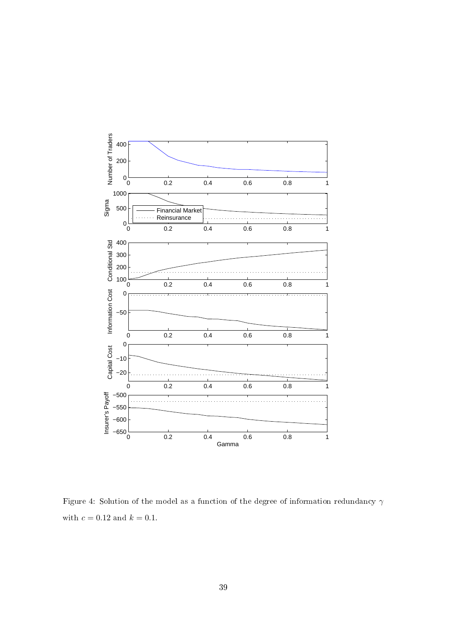

Figure 4: Solution of the model as a function of the degree of information redundancy  $\gamma$ with  $c = 0.12$  and  $k = 0.1$ .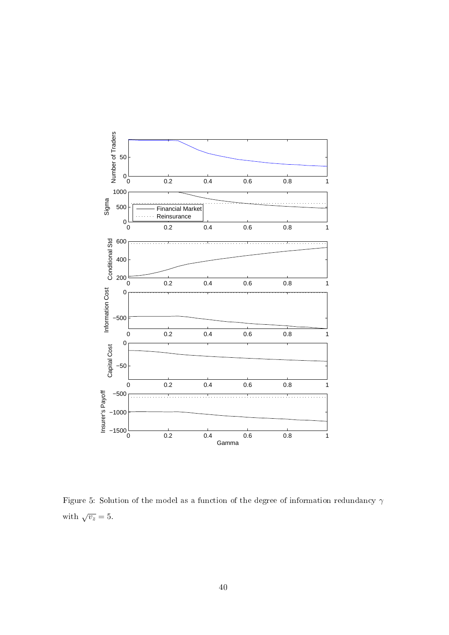

Figure 5: Solution of the model as a function of the degree of information redundancy  $\gamma$ with  $\sqrt{v_z} = 5$ .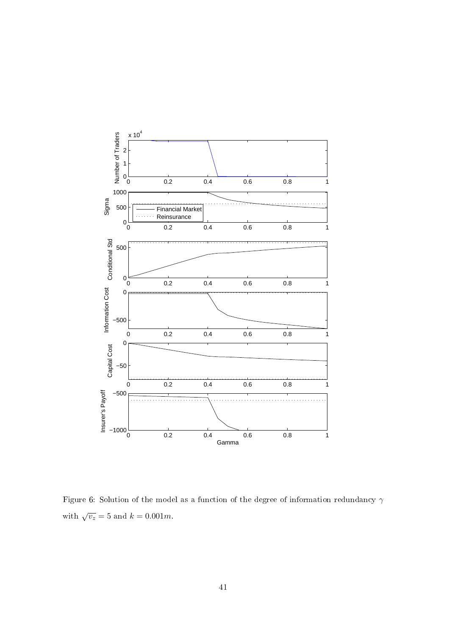

Figure 6: Solution of the model as a function of the degree of information redundancy  $\gamma$ with  $\sqrt{v_z} = 5$  and  $k = 0.001m$ .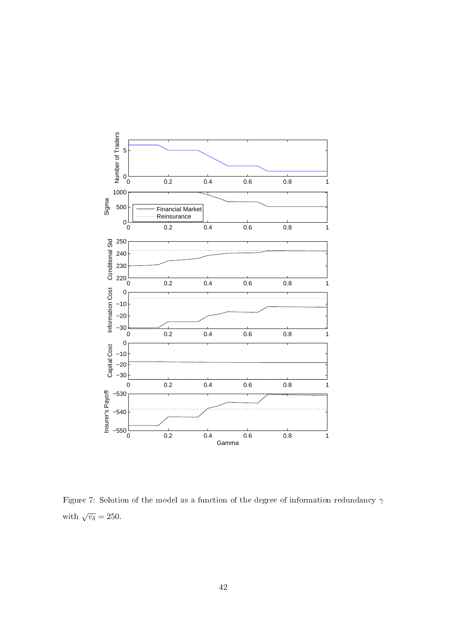

Figure 7: Solution of the model as a function of the degree of information redundancy  $\gamma$ with  $\sqrt{v_\delta} = 250$ .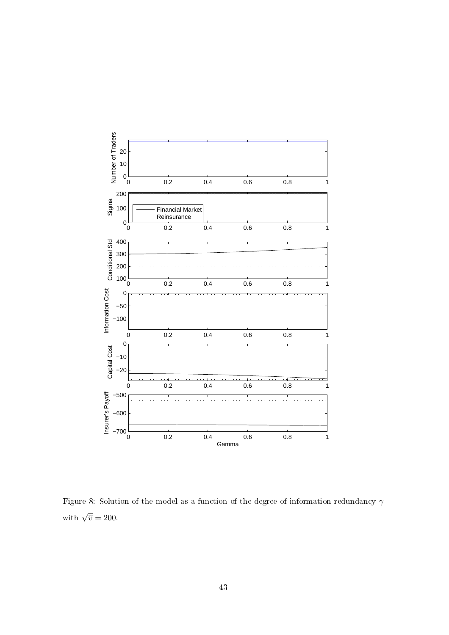

Figure 8: Solution of the model as a function of the degree of information redundancy  $\gamma$ with  $\sqrt{\overline{v}} = 200$ .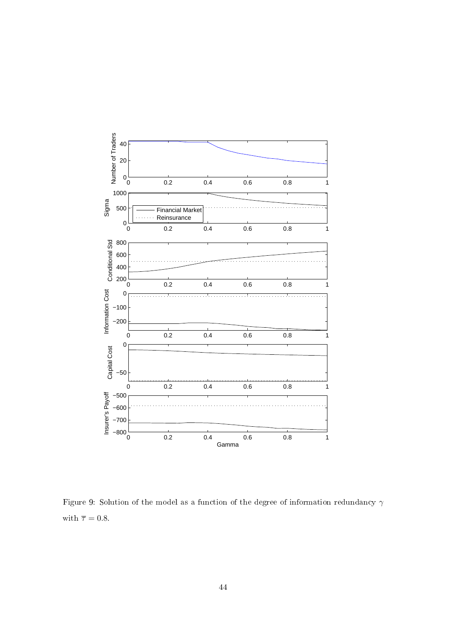

Figure 9: Solution of the model as a function of the degree of information redundancy  $\gamma$ with  $\bar{\tau} = 0.8$ .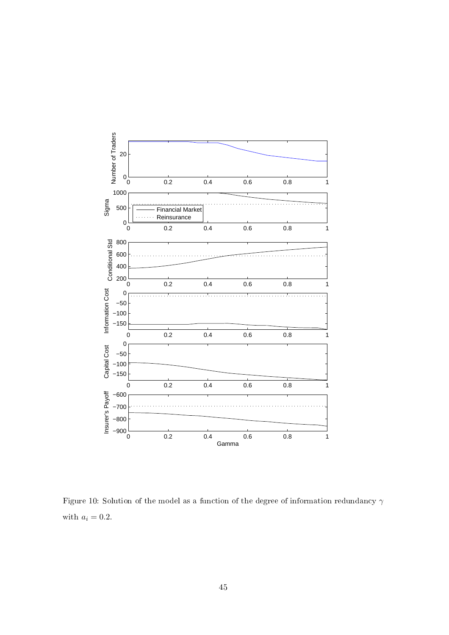

Figure 10: Solution of the model as a function of the degree of information redundancy  $\gamma$ with  $a_i = 0.2$ .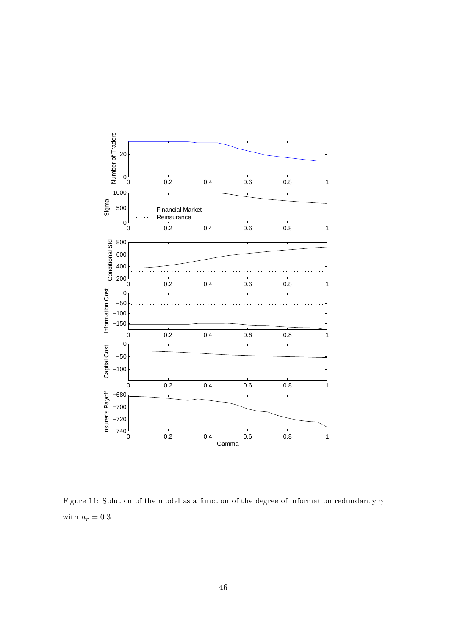

Figure 11: Solution of the model as a function of the degree of information redundancy  $\gamma$ with  $a_r = 0.3$ .